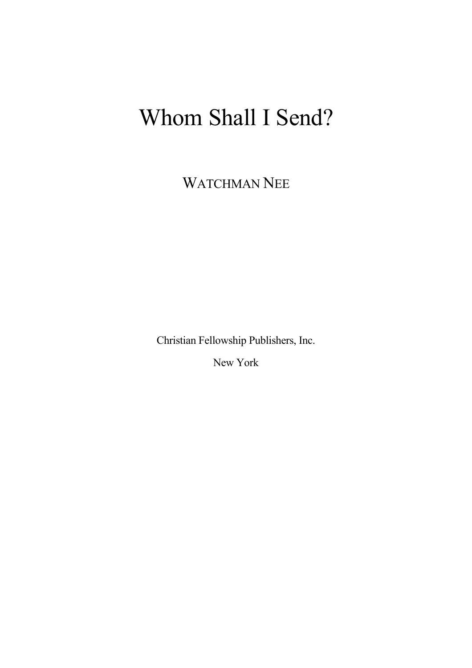# Whom Shall I Send?

WATCHMAN NEE

Christian Fellowship Publishers, Inc.

New York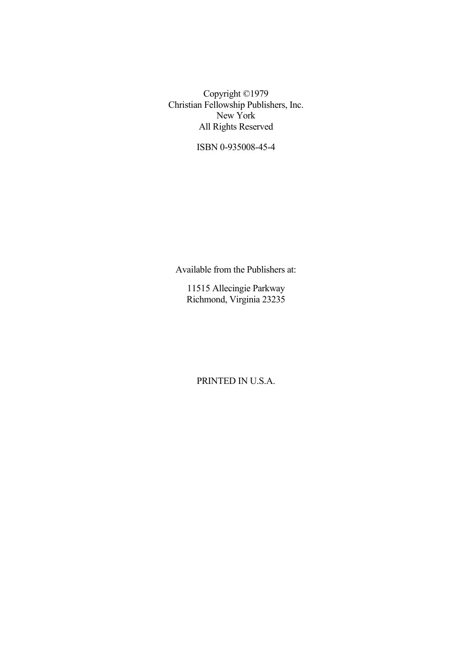Copyright ©1979 Christian Fellowship Publishers, Inc. New York All Rights Reserved

ISBN 0-935008-45-4

Available from the Publishers at:

11515 Allecingie Parkway Richmond, Virginia 23235

PRINTED IN U.S.A.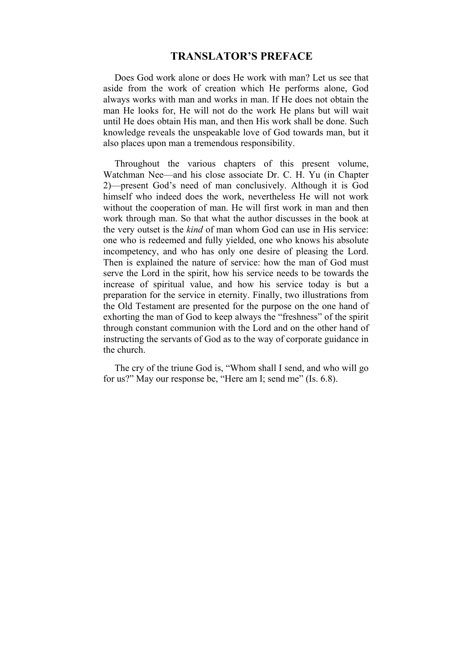### **TRANSLATOR'S PREFACE**

Does God work alone or does He work with man? Let us see that aside from the work of creation which He performs alone, God always works with man and works in man. If He does not obtain the man He looks for, He will not do the work He plans but will wait until He does obtain His man, and then His work shall be done. Such knowledge reveals the unspeakable love of God towards man, but it also places upon man a tremendous responsibility.

Throughout the various chapters of this present volume, Watchman Nee—and his close associate Dr. C. H. Yu (in Chapter 2)—present God's need of man conclusively. Although it is God himself who indeed does the work, nevertheless He will not work without the cooperation of man. He will first work in man and then work through man. So that what the author discusses in the book at the very outset is the *kind* of man whom God can use in His service: one who is redeemed and fully yielded, one who knows his absolute incompetency, and who has only one desire of pleasing the Lord. Then is explained the nature of service: how the man of God must serve the Lord in the spirit, how his service needs to be towards the increase of spiritual value, and how his service today is but a preparation for the service in eternity. Finally, two illustrations from the Old Testament are presented for the purpose on the one hand of exhorting the man of God to keep always the "freshness" of the spirit through constant communion with the Lord and on the other hand of instructing the servants of God as to the way of corporate guidance in the church.

The cry of the triune God is, "Whom shall I send, and who will go for us?" May our response be, "Here am I; send me" (Is. 6.8).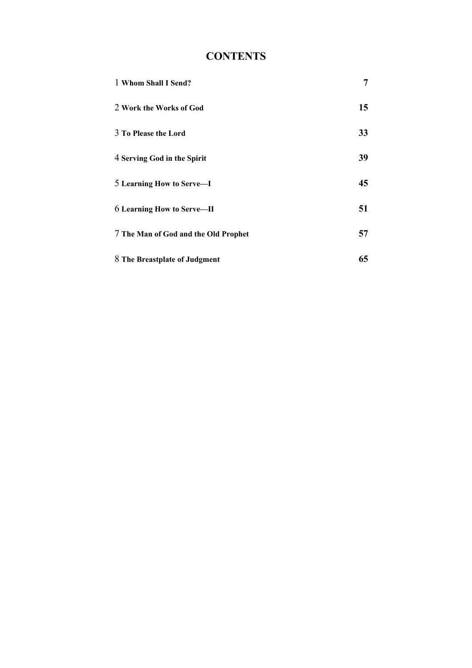## **CONTENTS**

| 1 Whom Shall I Send?                 | 7  |
|--------------------------------------|----|
| 2 Work the Works of God              | 15 |
| 3 To Please the Lord                 | 33 |
| 4 Serving God in the Spirit          | 39 |
| 5 Learning How to Serve-I            | 45 |
| <b>6 Learning How to Serve—II</b>    | 51 |
| 7 The Man of God and the Old Prophet | 57 |
| 8 The Breastplate of Judgment        | 65 |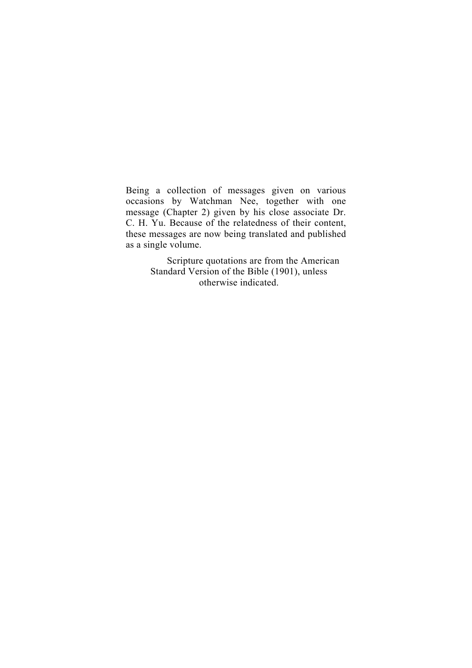Being a collection of messages given on various occasions by Watchman Nee, together with one message (Chapter 2) given by his close associate Dr. C. H. Yu. Because of the relatedness of their content, these messages are now being translated and published as a single volume.

> Scripture quotations are from the American Standard Version of the Bible (1901), unless otherwise indicated.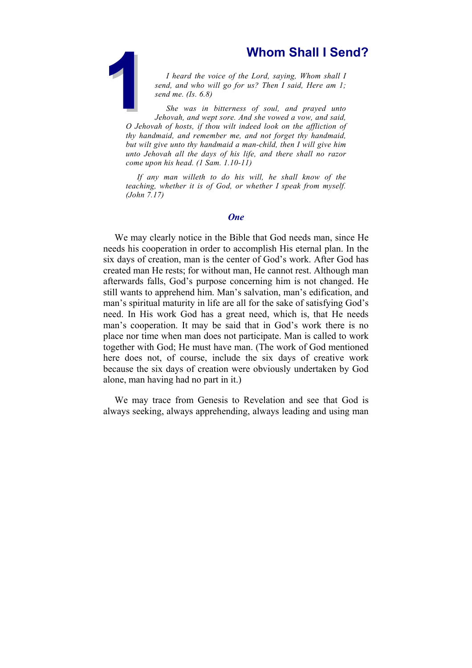<span id="page-6-0"></span>**1** heard the voice of the Lord, saying, Whom shall I send, and who will go for us? Then I said, Here am 1; send me. (Is. 6.8)<br>She was in bitterness of soul, and prayed unto Jehovah, and wept sore. And she vowed a vow, and *I heard the voice of the Lord, saying, Whom shall I send, and who will go for us? Then I said, Here am 1; send me. (Is. 6.8)*

*She was in bitterness of soul, and prayed unto Jehovah, and wept sore. And she vowed a vow, and said, O Jehovah of hosts, if thou wilt indeed look on the affliction of thy handmaid, and remember me, and not forget thy handmaid, but wilt give unto thy handmaid a man-child, then I will give him unto Jehovah all the days of his life, and there shall no razor come upon his head. (1 Sam. 1.10-11)*

*If any man willeth to do his will, he shall know of the teaching, whether it is of God, or whether I speak from myself. (John 7.17)*

#### *One*

We may clearly notice in the Bible that God needs man, since He needs his cooperation in order to accomplish His eternal plan. In the six days of creation, man is the center of God's work. After God has created man He rests; for without man, He cannot rest. Although man afterwards falls, God's purpose concerning him is not changed. He still wants to apprehend him. Man's salvation, man's edification, and man's spiritual maturity in life are all for the sake of satisfying God's need. In His work God has a great need, which is, that He needs man's cooperation. It may be said that in God's work there is no place nor time when man does not participate. Man is called to work together with God; He must have man. (The work of God mentioned here does not, of course, include the six days of creative work because the six days of creation were obviously undertaken by God alone, man having had no part in it.)

We may trace from Genesis to Revelation and see that God is always seeking, always apprehending, always leading and using man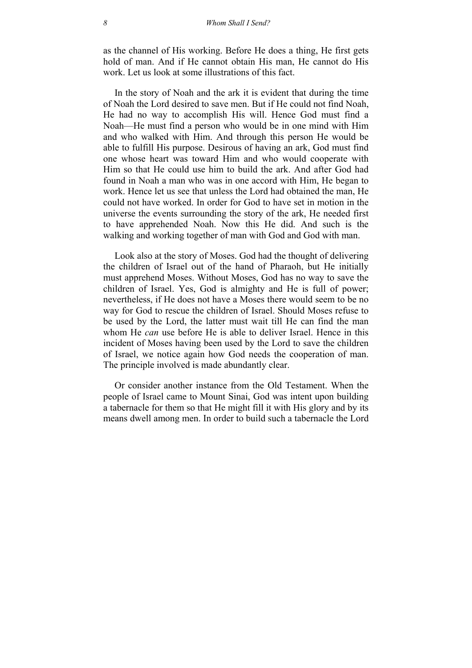as the channel of His working. Before He does a thing, He first gets hold of man. And if He cannot obtain His man, He cannot do His work. Let us look at some illustrations of this fact.

In the story of Noah and the ark it is evident that during the time of Noah the Lord desired to save men. But if He could not find Noah, He had no way to accomplish His will. Hence God must find a Noah—He must find a person who would be in one mind with Him and who walked with Him. And through this person He would be able to fulfill His purpose. Desirous of having an ark, God must find one whose heart was toward Him and who would cooperate with Him so that He could use him to build the ark. And after God had found in Noah a man who was in one accord with Him, He began to work. Hence let us see that unless the Lord had obtained the man, He could not have worked. In order for God to have set in motion in the universe the events surrounding the story of the ark, He needed first to have apprehended Noah. Now this He did. And such is the walking and working together of man with God and God with man.

Look also at the story of Moses. God had the thought of delivering the children of Israel out of the hand of Pharaoh, but He initially must apprehend Moses. Without Moses, God has no way to save the children of Israel. Yes, God is almighty and He is full of power; nevertheless, if He does not have a Moses there would seem to be no way for God to rescue the children of Israel. Should Moses refuse to be used by the Lord, the latter must wait till He can find the man whom He *can* use before He is able to deliver Israel. Hence in this incident of Moses having been used by the Lord to save the children of Israel, we notice again how God needs the cooperation of man. The principle involved is made abundantly clear.

Or consider another instance from the Old Testament. When the people of Israel came to Mount Sinai, God was intent upon building a tabernacle for them so that He might fill it with His glory and by its means dwell among men. In order to build such a tabernacle the Lord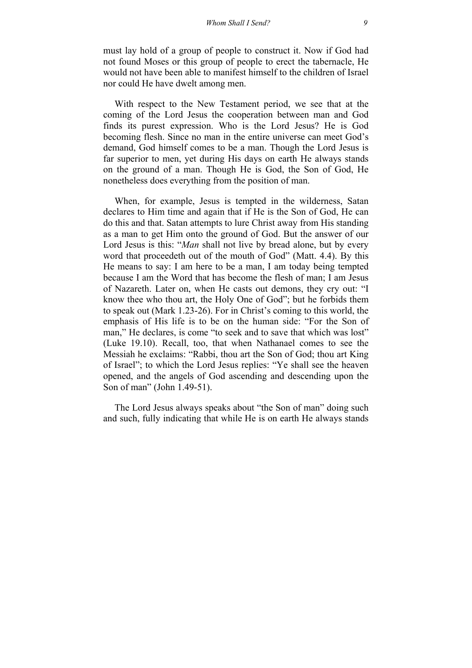must lay hold of a group of people to construct it. Now if God had not found Moses or this group of people to erect the tabernacle, He would not have been able to manifest himself to the children of Israel nor could He have dwelt among men.

With respect to the New Testament period, we see that at the coming of the Lord Jesus the cooperation between man and God finds its purest expression. Who is the Lord Jesus? He is God becoming flesh. Since no man in the entire universe can meet God's demand, God himself comes to be a man. Though the Lord Jesus is far superior to men, yet during His days on earth He always stands on the ground of a man. Though He is God, the Son of God, He nonetheless does everything from the position of man.

When, for example, Jesus is tempted in the wilderness, Satan declares to Him time and again that if He is the Son of God, He can do this and that. Satan attempts to lure Christ away from His standing as a man to get Him onto the ground of God. But the answer of our Lord Jesus is this: "*Man* shall not live by bread alone, but by every word that proceedeth out of the mouth of God" (Matt. 4.4). By this He means to say: I am here to be a man, I am today being tempted because I am the Word that has become the flesh of man; I am Jesus of Nazareth. Later on, when He casts out demons, they cry out: "I know thee who thou art, the Holy One of God"; but he forbids them to speak out (Mark 1.23-26). For in Christ's coming to this world, the emphasis of His life is to be on the human side: "For the Son of man," He declares, is come "to seek and to save that which was lost" (Luke 19.10). Recall, too, that when Nathanael comes to see the Messiah he exclaims: "Rabbi, thou art the Son of God; thou art King of Israel"; to which the Lord Jesus replies: "Ye shall see the heaven opened, and the angels of God ascending and descending upon the Son of man" (John 1.49-51).

The Lord Jesus always speaks about "the Son of man" doing such and such, fully indicating that while He is on earth He always stands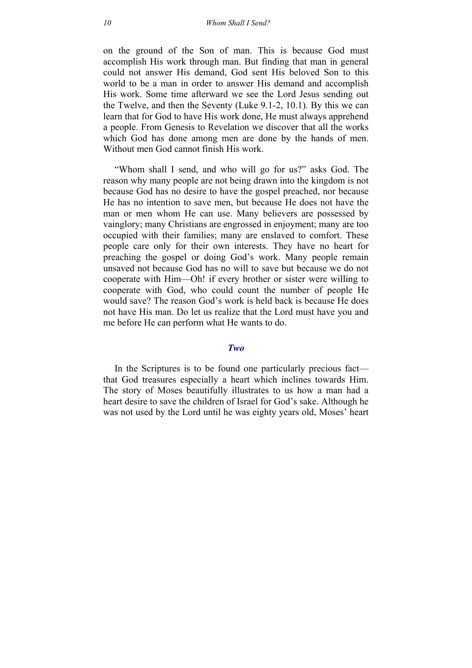on the ground of the Son of man. This is because God must accomplish His work through man. But finding that man in general could not answer His demand, God sent His beloved Son to this world to be a man in order to answer His demand and accomplish His work. Some time afterward we see the Lord Jesus sending out the Twelve, and then the Seventy (Luke 9.1-2, 10.1). By this we can learn that for God to have His work done, He must always apprehend a people. From Genesis to Revelation we discover that all the works which God has done among men are done by the hands of men. Without men God cannot finish His work.

"Whom shall I send, and who will go for us?" asks God. The reason why many people are not being drawn into the kingdom is not because God has no desire to have the gospel preached, nor because He has no intention to save men, but because He does not have the man or men whom He can use. Many believers are possessed by vainglory; many Christians are engrossed in enjoyment; many are too occupied with their families; many are enslaved to comfort. These people care only for their own interests. They have no heart for preaching the gospel or doing God's work. Many people remain unsaved not because God has no will to save but because we do not cooperate with Him—Oh! if every brother or sister were willing to cooperate with God, who could count the number of people He would save? The reason God's work is held back is because He does not have His man. Do let us realize that the Lord must have you and me before He can perform what He wants to do.

#### *Two*

In the Scriptures is to be found one particularly precious fact that God treasures especially a heart which inclines towards Him. The story of Moses beautifully illustrates to us how a man had a heart desire to save the children of Israel for God's sake. Although he was not used by the Lord until he was eighty years old, Moses' heart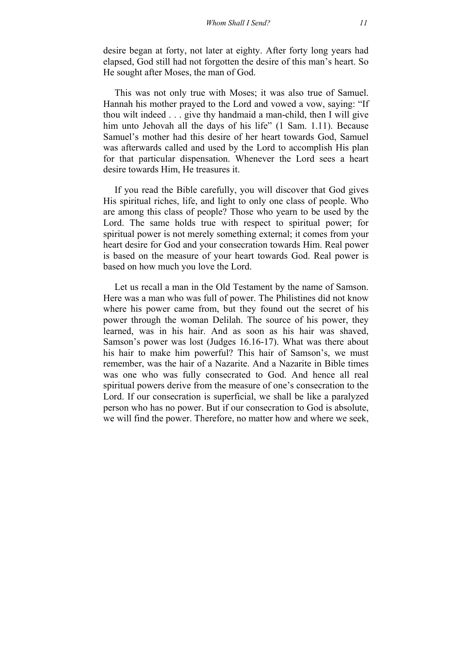desire began at forty, not later at eighty. After forty long years had elapsed, God still had not forgotten the desire of this man's heart. So He sought after Moses, the man of God.

This was not only true with Moses; it was also true of Samuel. Hannah his mother prayed to the Lord and vowed a vow, saying: "If thou wilt indeed . . . give thy handmaid a man-child, then I will give him unto Jehovah all the days of his life" (1 Sam. 1.11). Because Samuel's mother had this desire of her heart towards God, Samuel was afterwards called and used by the Lord to accomplish His plan for that particular dispensation. Whenever the Lord sees a heart desire towards Him, He treasures it.

If you read the Bible carefully, you will discover that God gives His spiritual riches, life, and light to only one class of people. Who are among this class of people? Those who yearn to be used by the Lord. The same holds true with respect to spiritual power; for spiritual power is not merely something external; it comes from your heart desire for God and your consecration towards Him. Real power is based on the measure of your heart towards God. Real power is based on how much you love the Lord.

Let us recall a man in the Old Testament by the name of Samson. Here was a man who was full of power. The Philistines did not know where his power came from, but they found out the secret of his power through the woman Delilah. The source of his power, they learned, was in his hair. And as soon as his hair was shaved, Samson's power was lost (Judges 16.16-17). What was there about his hair to make him powerful? This hair of Samson's, we must remember, was the hair of a Nazarite. And a Nazarite in Bible times was one who was fully consecrated to God. And hence all real spiritual powers derive from the measure of one's consecration to the Lord. If our consecration is superficial, we shall be like a paralyzed person who has no power. But if our consecration to God is absolute, we will find the power. Therefore, no matter how and where we seek,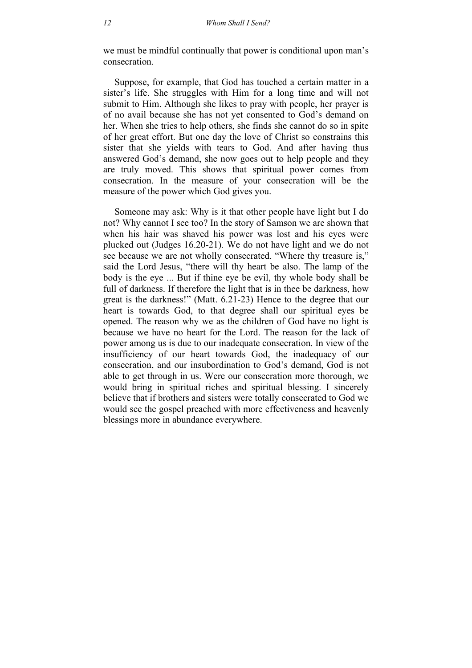we must be mindful continually that power is conditional upon man's consecration.

Suppose, for example, that God has touched a certain matter in a sister's life. She struggles with Him for a long time and will not submit to Him. Although she likes to pray with people, her prayer is of no avail because she has not yet consented to God's demand on her. When she tries to help others, she finds she cannot do so in spite of her great effort. But one day the love of Christ so constrains this sister that she yields with tears to God. And after having thus answered God's demand, she now goes out to help people and they are truly moved. This shows that spiritual power comes from consecration. In the measure of your consecration will be the measure of the power which God gives you.

Someone may ask: Why is it that other people have light but I do not? Why cannot I see too? In the story of Samson we are shown that when his hair was shaved his power was lost and his eyes were plucked out (Judges 16.20-21). We do not have light and we do not see because we are not wholly consecrated. "Where thy treasure is," said the Lord Jesus, "there will thy heart be also. The lamp of the body is the eye ... But if thine eye be evil, thy whole body shall be full of darkness. If therefore the light that is in thee be darkness, how great is the darkness!" (Matt. 6.21-23) Hence to the degree that our heart is towards God, to that degree shall our spiritual eyes be opened. The reason why we as the children of God have no light is because we have no heart for the Lord. The reason for the lack of power among us is due to our inadequate consecration. In view of the insufficiency of our heart towards God, the inadequacy of our consecration, and our insubordination to God's demand, God is not able to get through in us. Were our consecration more thorough, we would bring in spiritual riches and spiritual blessing. I sincerely believe that if brothers and sisters were totally consecrated to God we would see the gospel preached with more effectiveness and heavenly blessings more in abundance everywhere.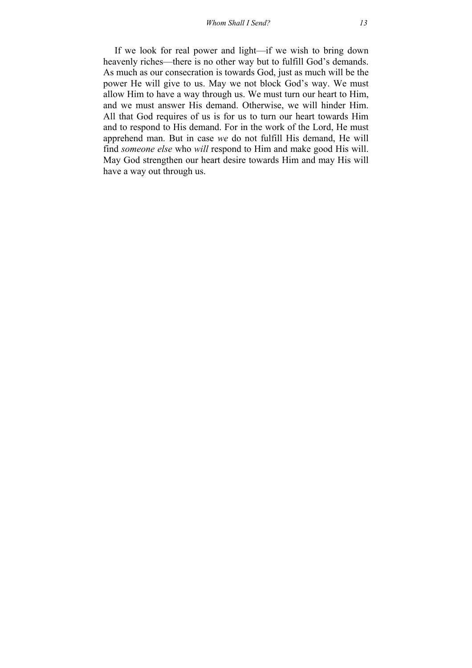If we look for real power and light—if we wish to bring down heavenly riches—there is no other way but to fulfill God's demands. As much as our consecration is towards God, just as much will be the power He will give to us. May we not block God's way. We must allow Him to have a way through us. We must turn our heart to Him, and we must answer His demand. Otherwise, we will hinder Him. All that God requires of us is for us to turn our heart towards Him and to respond to His demand. For in the work of the Lord, He must apprehend man. But in case *we* do not fulfill His demand, He will find *someone else* who *will* respond to Him and make good His will. May God strengthen our heart desire towards Him and may His will have a way out through us.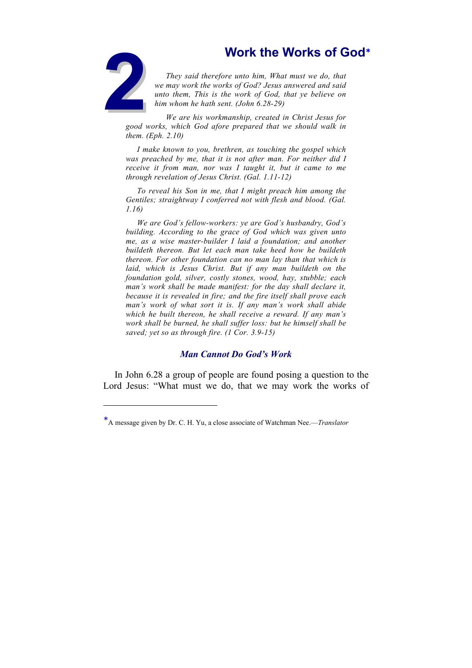<span id="page-14-0"></span>

-

**2Work the Works of God**∗<br>
2Work the Works of God<br>
2Work the work what must we do, that<br>
2Work the works of God? Jesus answered and said<br>
2Work the work of God, that ye believe on<br>
him whom he hath sent. (John 6.28-29)<br>
We *They said therefore unto him, What must we do, that we may work the works of God? Jesus answered and said unto them, This is the work of God, that ye believe on him whom he hath sent. (John 6.28-29)*

*We are his workmanship, created in Christ Jesus for good works, which God afore prepared that we should walk in them. (Eph. 2.10)*

*I make known to you, brethren, as touching the gospel which was preached by me, that it is not after man. For neither did I receive it from man, nor was I taught it, but it came to me through revelation of Jesus Christ. (Gal. 1.11-12)*

*To reveal his Son in me, that I might preach him among the Gentiles; straightway I conferred not with flesh and blood. (Gal. 1.16)*

*We are God's fellow-workers: ye are God's husbandry, God's building. According to the grace of God which was given unto me, as a wise master-builder I laid a foundation; and another buildeth thereon. But let each man take heed how he buildeth thereon. For other foundation can no man lay than that which is laid, which is Jesus Christ. But if any man buildeth on the foundation gold, silver, costly stones, wood, hay, stubble; each man's work shall be made manifest: for the day shall declare it, because it is revealed in fire; and the fire itself shall prove each man's work of what sort it is. If any man's work shall abide which he built thereon, he shall receive a reward. If any man's work shall be burned, he shall suffer loss: but he himself shall be saved; yet so as through fire. (1 Cor. 3.9-15)*

#### *Man Cannot Do God's Work*

In John 6.28 a group of people are found posing a question to the Lord Jesus: "What must we do, that we may work the works of

<sup>∗</sup> A message given by Dr. C. H. Yu, a close associate of Watchman Nee.—*Translator*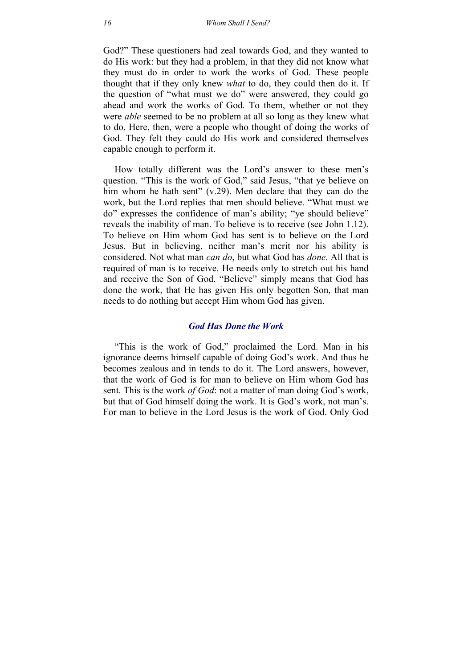God?" These questioners had zeal towards God, and they wanted to do His work: but they had a problem, in that they did not know what they must do in order to work the works of God. These people thought that if they only knew *what* to do, they could then do it. If the question of "what must we do" were answered, they could go ahead and work the works of God. To them, whether or not they were *able* seemed to be no problem at all so long as they knew what to do. Here, then, were a people who thought of doing the works of God. They felt they could do His work and considered themselves capable enough to perform it.

How totally different was the Lord's answer to these men's question. "This is the work of God," said Jesus, "that ye believe on him whom he hath sent" (v.29). Men declare that they can do the work, but the Lord replies that men should believe. "What must we do" expresses the confidence of man's ability; "ye should believe" reveals the inability of man. To believe is to receive (see John 1.12). To believe on Him whom God has sent is to believe on the Lord Jesus. But in believing, neither man's merit nor his ability is considered. Not what man *can do*, but what God has *done*. All that is required of man is to receive. He needs only to stretch out his hand and receive the Son of God. "Believe" simply means that God has done the work, that He has given His only begotten Son, that man needs to do nothing but accept Him whom God has given.

#### *God Has Done the Work*

"This is the work of God," proclaimed the Lord. Man in his ignorance deems himself capable of doing God's work. And thus he becomes zealous and in tends to do it. The Lord answers, however, that the work of God is for man to believe on Him whom God has sent. This is the work *of God*: not a matter of man doing God's work, but that of God himself doing the work. It is God's work, not man's. For man to believe in the Lord Jesus is the work of God. Only God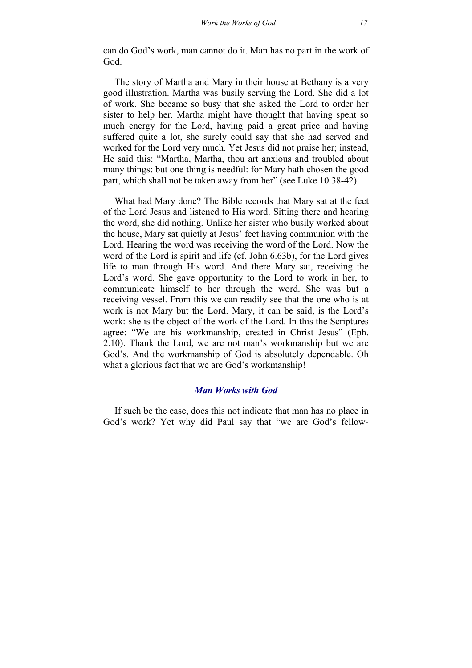can do God's work, man cannot do it. Man has no part in the work of God.

The story of Martha and Mary in their house at Bethany is a very good illustration. Martha was busily serving the Lord. She did a lot of work. She became so busy that she asked the Lord to order her sister to help her. Martha might have thought that having spent so much energy for the Lord, having paid a great price and having suffered quite a lot, she surely could say that she had served and worked for the Lord very much. Yet Jesus did not praise her; instead, He said this: "Martha, Martha, thou art anxious and troubled about many things: but one thing is needful: for Mary hath chosen the good part, which shall not be taken away from her" (see Luke 10.38-42).

What had Mary done? The Bible records that Mary sat at the feet of the Lord Jesus and listened to His word. Sitting there and hearing the word, she did nothing. Unlike her sister who busily worked about the house, Mary sat quietly at Jesus' feet having communion with the Lord. Hearing the word was receiving the word of the Lord. Now the word of the Lord is spirit and life (cf. John 6.63b), for the Lord gives life to man through His word. And there Mary sat, receiving the Lord's word. She gave opportunity to the Lord to work in her, to communicate himself to her through the word. She was but a receiving vessel. From this we can readily see that the one who is at work is not Mary but the Lord. Mary, it can be said, is the Lord's work: she is the object of the work of the Lord. In this the Scriptures agree: "We are his workmanship, created in Christ Jesus" (Eph. 2.10). Thank the Lord, we are not man's workmanship but we are God's. And the workmanship of God is absolutely dependable. Oh what a glorious fact that we are God's workmanship!

#### *Man Works with God*

If such be the case, does this not indicate that man has no place in God's work? Yet why did Paul say that "we are God's fellow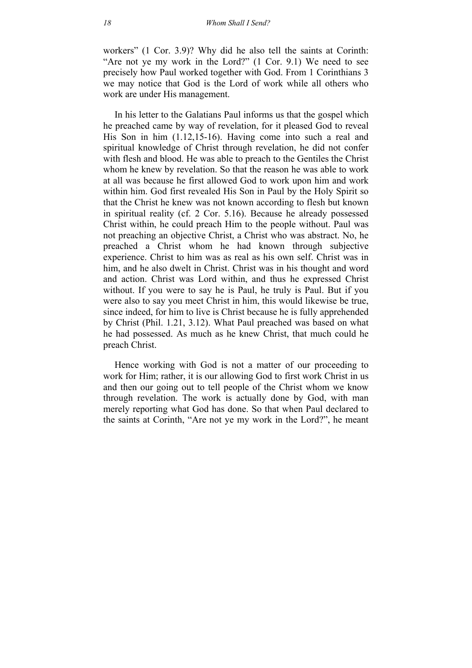workers" (1 Cor. 3.9)? Why did he also tell the saints at Corinth: "Are not ye my work in the Lord?" (1 Cor. 9.1) We need to see precisely how Paul worked together with God. From 1 Corinthians 3 we may notice that God is the Lord of work while all others who work are under His management.

In his letter to the Galatians Paul informs us that the gospel which he preached came by way of revelation, for it pleased God to reveal His Son in him (1.12,15-16). Having come into such a real and spiritual knowledge of Christ through revelation, he did not confer with flesh and blood. He was able to preach to the Gentiles the Christ whom he knew by revelation. So that the reason he was able to work at all was because he first allowed God to work upon him and work within him. God first revealed His Son in Paul by the Holy Spirit so that the Christ he knew was not known according to flesh but known in spiritual reality (cf. 2 Cor. 5.16). Because he already possessed Christ within, he could preach Him to the people without. Paul was not preaching an objective Christ, a Christ who was abstract. No, he preached a Christ whom he had known through subjective experience. Christ to him was as real as his own self. Christ was in him, and he also dwelt in Christ. Christ was in his thought and word and action. Christ was Lord within, and thus he expressed Christ without. If you were to say he is Paul, he truly is Paul. But if you were also to say you meet Christ in him, this would likewise be true, since indeed, for him to live is Christ because he is fully apprehended by Christ (Phil. 1.21, 3.12). What Paul preached was based on what he had possessed. As much as he knew Christ, that much could he preach Christ.

Hence working with God is not a matter of our proceeding to work for Him; rather, it is our allowing God to first work Christ in us and then our going out to tell people of the Christ whom we know through revelation. The work is actually done by God, with man merely reporting what God has done. So that when Paul declared to the saints at Corinth, "Are not ye my work in the Lord?", he meant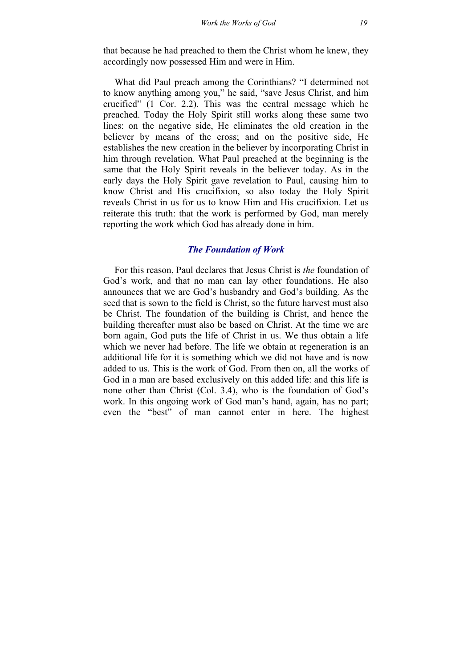that because he had preached to them the Christ whom he knew, they accordingly now possessed Him and were in Him.

What did Paul preach among the Corinthians? "I determined not to know anything among you," he said, "save Jesus Christ, and him crucified" (1 Cor. 2.2). This was the central message which he preached. Today the Holy Spirit still works along these same two lines: on the negative side, He eliminates the old creation in the believer by means of the cross; and on the positive side, He establishes the new creation in the believer by incorporating Christ in him through revelation. What Paul preached at the beginning is the same that the Holy Spirit reveals in the believer today. As in the early days the Holy Spirit gave revelation to Paul, causing him to know Christ and His crucifixion, so also today the Holy Spirit reveals Christ in us for us to know Him and His crucifixion. Let us reiterate this truth: that the work is performed by God, man merely reporting the work which God has already done in him.

### *The Foundation of Work*

For this reason, Paul declares that Jesus Christ is *the* foundation of God's work, and that no man can lay other foundations. He also announces that we are God's husbandry and God's building. As the seed that is sown to the field is Christ, so the future harvest must also be Christ. The foundation of the building is Christ, and hence the building thereafter must also be based on Christ. At the time we are born again, God puts the life of Christ in us. We thus obtain a life which we never had before. The life we obtain at regeneration is an additional life for it is something which we did not have and is now added to us. This is the work of God. From then on, all the works of God in a man are based exclusively on this added life: and this life is none other than Christ (Col. 3.4), who is the foundation of God's work. In this ongoing work of God man's hand, again, has no part; even the "best" of man cannot enter in here. The highest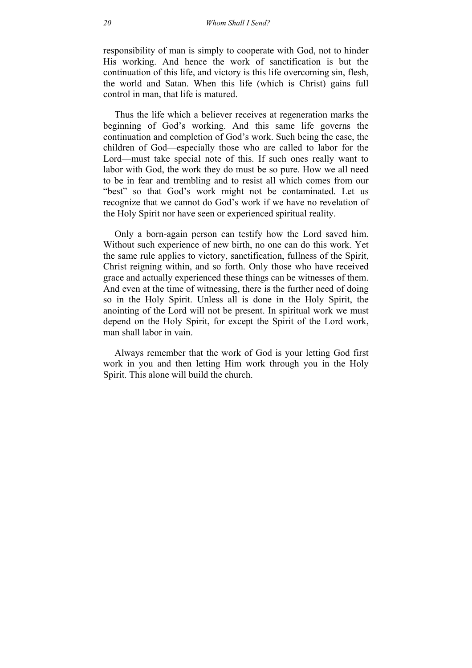responsibility of man is simply to cooperate with God, not to hinder His working. And hence the work of sanctification is but the continuation of this life, and victory is this life overcoming sin, flesh, the world and Satan. When this life (which is Christ) gains full control in man, that life is matured.

Thus the life which a believer receives at regeneration marks the beginning of God's working. And this same life governs the continuation and completion of God's work. Such being the case, the children of God—especially those who are called to labor for the Lord—must take special note of this. If such ones really want to labor with God, the work they do must be so pure. How we all need to be in fear and trembling and to resist all which comes from our "best" so that God's work might not be contaminated. Let us recognize that we cannot do God's work if we have no revelation of the Holy Spirit nor have seen or experienced spiritual reality.

Only a born-again person can testify how the Lord saved him. Without such experience of new birth, no one can do this work. Yet the same rule applies to victory, sanctification, fullness of the Spirit, Christ reigning within, and so forth. Only those who have received grace and actually experienced these things can be witnesses of them. And even at the time of witnessing, there is the further need of doing so in the Holy Spirit. Unless all is done in the Holy Spirit, the anointing of the Lord will not be present. In spiritual work we must depend on the Holy Spirit, for except the Spirit of the Lord work, man shall labor in vain.

Always remember that the work of God is your letting God first work in you and then letting Him work through you in the Holy Spirit. This alone will build the church.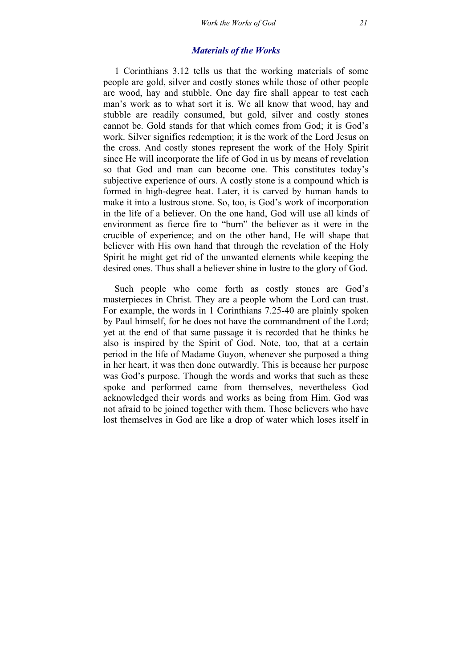### *Materials of the Works*

1 Corinthians 3.12 tells us that the working materials of some people are gold, silver and costly stones while those of other people are wood, hay and stubble. One day fire shall appear to test each man's work as to what sort it is. We all know that wood, hay and stubble are readily consumed, but gold, silver and costly stones cannot be. Gold stands for that which comes from God; it is God's work. Silver signifies redemption; it is the work of the Lord Jesus on the cross. And costly stones represent the work of the Holy Spirit since He will incorporate the life of God in us by means of revelation so that God and man can become one. This constitutes today's subjective experience of ours. A costly stone is a compound which is formed in high-degree heat. Later, it is carved by human hands to make it into a lustrous stone. So, too, is God's work of incorporation in the life of a believer. On the one hand, God will use all kinds of environment as fierce fire to "burn" the believer as it were in the crucible of experience; and on the other hand, He will shape that believer with His own hand that through the revelation of the Holy Spirit he might get rid of the unwanted elements while keeping the desired ones. Thus shall a believer shine in lustre to the glory of God.

Such people who come forth as costly stones are God's masterpieces in Christ. They are a people whom the Lord can trust. For example, the words in 1 Corinthians 7.25-40 are plainly spoken by Paul himself, for he does not have the commandment of the Lord; yet at the end of that same passage it is recorded that he thinks he also is inspired by the Spirit of God. Note, too, that at a certain period in the life of Madame Guyon, whenever she purposed a thing in her heart, it was then done outwardly. This is because her purpose was God's purpose. Though the words and works that such as these spoke and performed came from themselves, nevertheless God acknowledged their words and works as being from Him. God was not afraid to be joined together with them. Those believers who have lost themselves in God are like a drop of water which loses itself in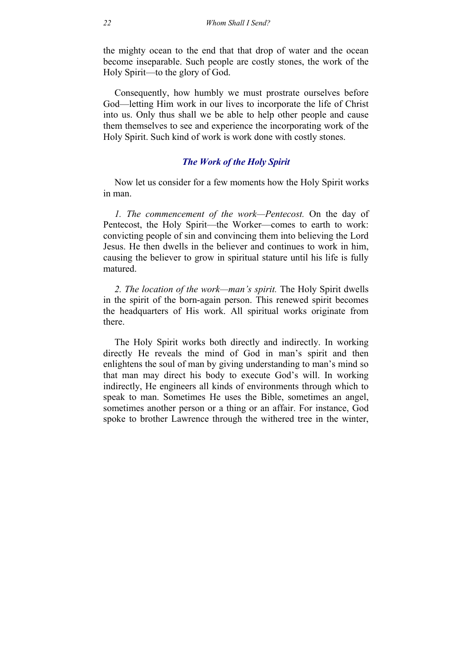the mighty ocean to the end that that drop of water and the ocean become inseparable. Such people are costly stones, the work of the Holy Spirit—to the glory of God.

Consequently, how humbly we must prostrate ourselves before God—letting Him work in our lives to incorporate the life of Christ into us. Only thus shall we be able to help other people and cause them themselves to see and experience the incorporating work of the Holy Spirit. Such kind of work is work done with costly stones.

### *The Work of the Holy Spirit*

Now let us consider for a few moments how the Holy Spirit works in man.

*1. The commencement of the work—Pentecost.* On the day of Pentecost, the Holy Spirit—the Worker—comes to earth to work: convicting people of sin and convincing them into believing the Lord Jesus. He then dwells in the believer and continues to work in him, causing the believer to grow in spiritual stature until his life is fully matured.

*2. The location of the work—man's spirit.* The Holy Spirit dwells in the spirit of the born-again person. This renewed spirit becomes the headquarters of His work. All spiritual works originate from there.

The Holy Spirit works both directly and indirectly. In working directly He reveals the mind of God in man's spirit and then enlightens the soul of man by giving understanding to man's mind so that man may direct his body to execute God's will. In working indirectly, He engineers all kinds of environments through which to speak to man. Sometimes He uses the Bible, sometimes an angel, sometimes another person or a thing or an affair. For instance, God spoke to brother Lawrence through the withered tree in the winter,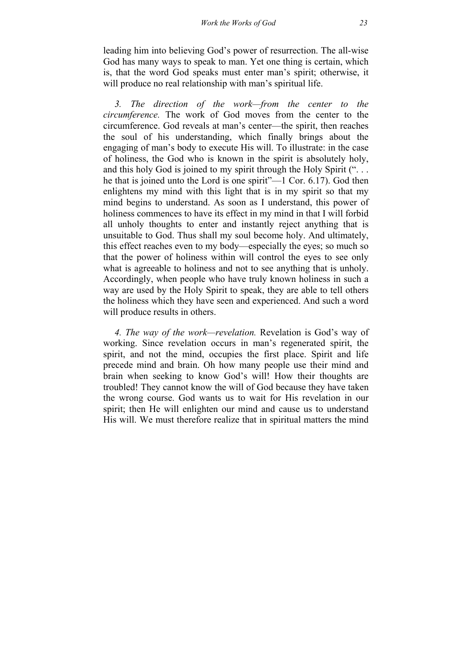leading him into believing God's power of resurrection. The all-wise God has many ways to speak to man. Yet one thing is certain, which is, that the word God speaks must enter man's spirit; otherwise, it will produce no real relationship with man's spiritual life.

*3. The direction of the work—from the center to the circumference.* The work of God moves from the center to the circumference. God reveals at man's center—the spirit, then reaches the soul of his understanding, which finally brings about the engaging of man's body to execute His will. To illustrate: in the case of holiness, the God who is known in the spirit is absolutely holy, and this holy God is joined to my spirit through the Holy Spirit (". . . he that is joined unto the Lord is one spirit"—1 Cor. 6.17). God then enlightens my mind with this light that is in my spirit so that my mind begins to understand. As soon as I understand, this power of holiness commences to have its effect in my mind in that I will forbid all unholy thoughts to enter and instantly reject anything that is unsuitable to God. Thus shall my soul become holy. And ultimately, this effect reaches even to my body—especially the eyes; so much so that the power of holiness within will control the eyes to see only what is agreeable to holiness and not to see anything that is unholy. Accordingly, when people who have truly known holiness in such a way are used by the Holy Spirit to speak, they are able to tell others the holiness which they have seen and experienced. And such a word will produce results in others.

*4. The way of the work—revelation.* Revelation is God's way of working. Since revelation occurs in man's regenerated spirit, the spirit, and not the mind, occupies the first place. Spirit and life precede mind and brain. Oh how many people use their mind and brain when seeking to know God's will! How their thoughts are troubled! They cannot know the will of God because they have taken the wrong course. God wants us to wait for His revelation in our spirit; then He will enlighten our mind and cause us to understand His will. We must therefore realize that in spiritual matters the mind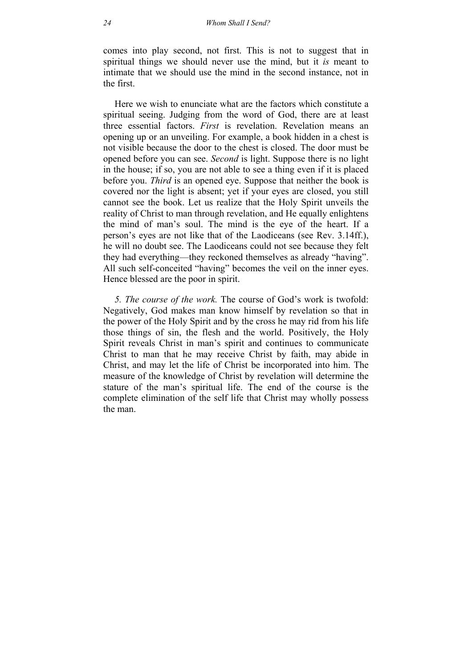comes into play second, not first. This is not to suggest that in spiritual things we should never use the mind, but it *is* meant to intimate that we should use the mind in the second instance, not in the first.

Here we wish to enunciate what are the factors which constitute a spiritual seeing. Judging from the word of God, there are at least three essential factors. *First* is revelation. Revelation means an opening up or an unveiling. For example, a book hidden in a chest is not visible because the door to the chest is closed. The door must be opened before you can see. *Second* is light. Suppose there is no light in the house; if so, you are not able to see a thing even if it is placed before you. *Third* is an opened eye. Suppose that neither the book is covered nor the light is absent; yet if your eyes are closed, you still cannot see the book. Let us realize that the Holy Spirit unveils the reality of Christ to man through revelation, and He equally enlightens the mind of man's soul. The mind is the eye of the heart. If a person's eyes are not like that of the Laodiceans (see Rev. 3.14ff.), he will no doubt see. The Laodiceans could not see because they felt they had everything—they reckoned themselves as already "having". All such self-conceited "having" becomes the veil on the inner eyes. Hence blessed are the poor in spirit.

*5. The course of the work.* The course of God's work is twofold: Negatively, God makes man know himself by revelation so that in the power of the Holy Spirit and by the cross he may rid from his life those things of sin, the flesh and the world. Positively, the Holy Spirit reveals Christ in man's spirit and continues to communicate Christ to man that he may receive Christ by faith, may abide in Christ, and may let the life of Christ be incorporated into him. The measure of the knowledge of Christ by revelation will determine the stature of the man's spiritual life. The end of the course is the complete elimination of the self life that Christ may wholly possess the man.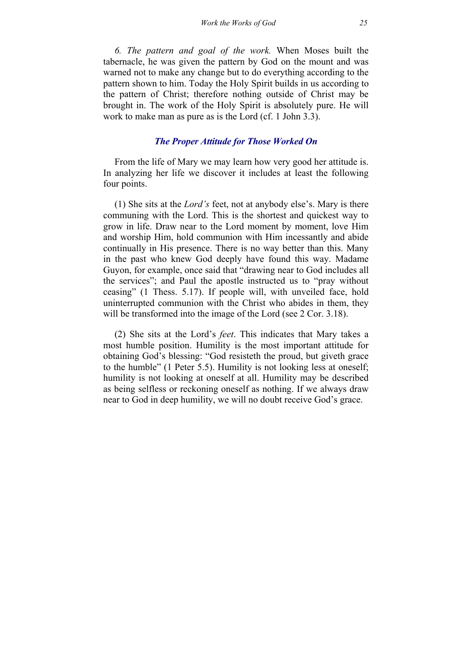*6. The pattern and goal of the work.* When Moses built the tabernacle, he was given the pattern by God on the mount and was warned not to make any change but to do everything according to the pattern shown to him. Today the Holy Spirit builds in us according to the pattern of Christ; therefore nothing outside of Christ may be brought in. The work of the Holy Spirit is absolutely pure. He will work to make man as pure as is the Lord (cf. 1 John 3.3).

#### *The Proper Attitude for Those Worked On*

From the life of Mary we may learn how very good her attitude is. In analyzing her life we discover it includes at least the following four points.

(1) She sits at the *Lord's* feet, not at anybody else's. Mary is there communing with the Lord. This is the shortest and quickest way to grow in life. Draw near to the Lord moment by moment, love Him and worship Him, hold communion with Him incessantly and abide continually in His presence. There is no way better than this. Many in the past who knew God deeply have found this way. Madame Guyon, for example, once said that "drawing near to God includes all the services"; and Paul the apostle instructed us to "pray without ceasing" (1 Thess. 5.17). If people will, with unveiled face, hold uninterrupted communion with the Christ who abides in them, they will be transformed into the image of the Lord (see 2 Cor. 3.18).

(2) She sits at the Lord's *feet*. This indicates that Mary takes a most humble position. Humility is the most important attitude for obtaining God's blessing: "God resisteth the proud, but giveth grace to the humble" (1 Peter 5.5). Humility is not looking less at oneself; humility is not looking at oneself at all. Humility may be described as being selfless or reckoning oneself as nothing. If we always draw near to God in deep humility, we will no doubt receive God's grace.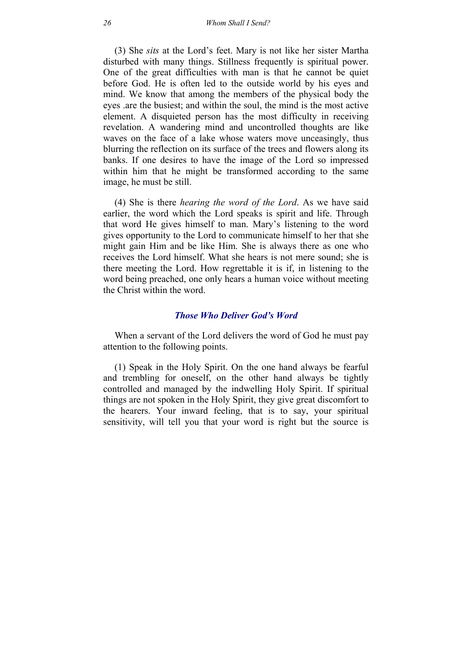(3) She *sits* at the Lord's feet. Mary is not like her sister Martha disturbed with many things. Stillness frequently is spiritual power. One of the great difficulties with man is that he cannot be quiet before God. He is often led to the outside world by his eyes and mind. We know that among the members of the physical body the eyes .are the busiest; and within the soul, the mind is the most active element. A disquieted person has the most difficulty in receiving revelation. A wandering mind and uncontrolled thoughts are like waves on the face of a lake whose waters move unceasingly, thus blurring the reflection on its surface of the trees and flowers along its banks. If one desires to have the image of the Lord so impressed within him that he might be transformed according to the same image, he must be still.

(4) She is there *hearing the word of the Lord*. As we have said earlier, the word which the Lord speaks is spirit and life. Through that word He gives himself to man. Mary's listening to the word gives opportunity to the Lord to communicate himself to her that she might gain Him and be like Him. She is always there as one who receives the Lord himself. What she hears is not mere sound; she is there meeting the Lord. How regrettable it is if, in listening to the word being preached, one only hears a human voice without meeting the Christ within the word.

#### *Those Who Deliver God's Word*

When a servant of the Lord delivers the word of God he must pay attention to the following points.

(1) Speak in the Holy Spirit. On the one hand always be fearful and trembling for oneself, on the other hand always be tightly controlled and managed by the indwelling Holy Spirit. If spiritual things are not spoken in the Holy Spirit, they give great discomfort to the hearers. Your inward feeling, that is to say, your spiritual sensitivity, will tell you that your word is right but the source is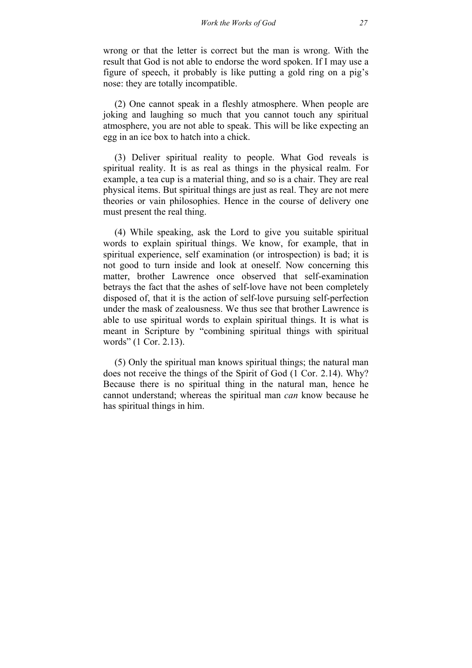wrong or that the letter is correct but the man is wrong. With the result that God is not able to endorse the word spoken. If I may use a figure of speech, it probably is like putting a gold ring on a pig's nose: they are totally incompatible.

(2) One cannot speak in a fleshly atmosphere. When people are joking and laughing so much that you cannot touch any spiritual atmosphere, you are not able to speak. This will be like expecting an egg in an ice box to hatch into a chick.

(3) Deliver spiritual reality to people. What God reveals is spiritual reality. It is as real as things in the physical realm. For example, a tea cup is a material thing, and so is a chair. They are real physical items. But spiritual things are just as real. They are not mere theories or vain philosophies. Hence in the course of delivery one must present the real thing.

(4) While speaking, ask the Lord to give you suitable spiritual words to explain spiritual things. We know, for example, that in spiritual experience, self examination (or introspection) is bad; it is not good to turn inside and look at oneself. Now concerning this matter, brother Lawrence once observed that self-examination betrays the fact that the ashes of self-love have not been completely disposed of, that it is the action of self-love pursuing self-perfection under the mask of zealousness. We thus see that brother Lawrence is able to use spiritual words to explain spiritual things. It is what is meant in Scripture by "combining spiritual things with spiritual words" (1 Cor. 2.13).

(5) Only the spiritual man knows spiritual things; the natural man does not receive the things of the Spirit of God (1 Cor. 2.14). Why? Because there is no spiritual thing in the natural man, hence he cannot understand; whereas the spiritual man *can* know because he has spiritual things in him.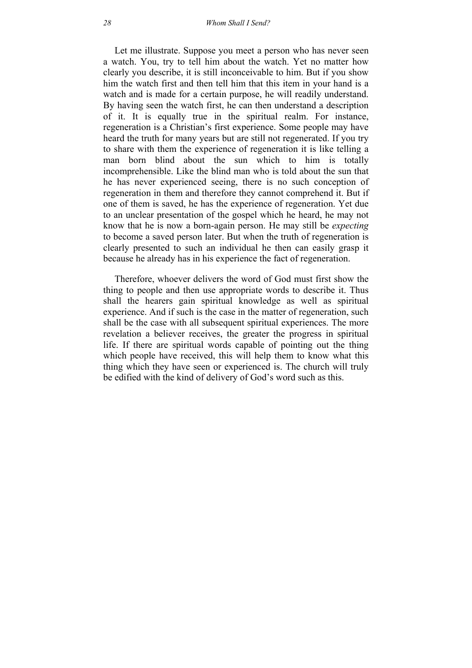Let me illustrate. Suppose you meet a person who has never seen a watch. You, try to tell him about the watch. Yet no matter how clearly you describe, it is still inconceivable to him. But if you show him the watch first and then tell him that this item in your hand is a watch and is made for a certain purpose, he will readily understand. By having seen the watch first, he can then understand a description of it. It is equally true in the spiritual realm. For instance, regeneration is a Christian's first experience. Some people may have heard the truth for many years but are still not regenerated. If you try to share with them the experience of regeneration it is like telling a man born blind about the sun which to him is totally incomprehensible. Like the blind man who is told about the sun that he has never experienced seeing, there is no such conception of regeneration in them and therefore they cannot comprehend it. But if one of them is saved, he has the experience of regeneration. Yet due to an unclear presentation of the gospel which he heard, he may not know that he is now a born-again person. He may still be *expecting* to become a saved person later. But when the truth of regeneration is clearly presented to such an individual he then can easily grasp it because he already has in his experience the fact of regeneration.

Therefore, whoever delivers the word of God must first show the thing to people and then use appropriate words to describe it. Thus shall the hearers gain spiritual knowledge as well as spiritual experience. And if such is the case in the matter of regeneration, such shall be the case with all subsequent spiritual experiences. The more revelation a believer receives, the greater the progress in spiritual life. If there are spiritual words capable of pointing out the thing which people have received, this will help them to know what this thing which they have seen or experienced is. The church will truly be edified with the kind of delivery of God's word such as this.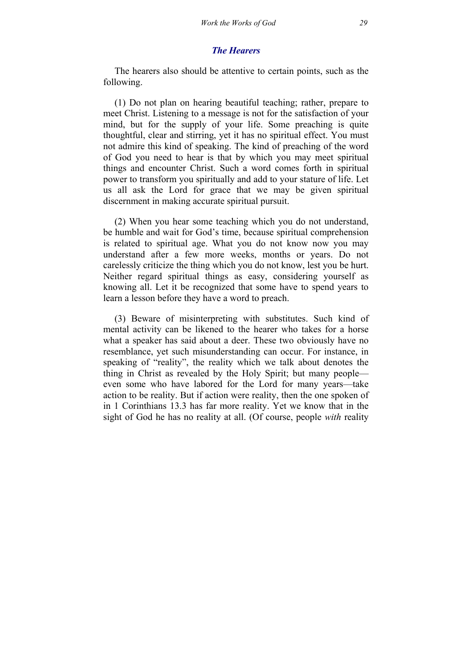### *The Hearers*

The hearers also should be attentive to certain points, such as the following.

(1) Do not plan on hearing beautiful teaching; rather, prepare to meet Christ. Listening to a message is not for the satisfaction of your mind, but for the supply of your life. Some preaching is quite thoughtful, clear and stirring, yet it has no spiritual effect. You must not admire this kind of speaking. The kind of preaching of the word of God you need to hear is that by which you may meet spiritual things and encounter Christ. Such a word comes forth in spiritual power to transform you spiritually and add to your stature of life. Let us all ask the Lord for grace that we may be given spiritual discernment in making accurate spiritual pursuit.

(2) When you hear some teaching which you do not understand, be humble and wait for God's time, because spiritual comprehension is related to spiritual age. What you do not know now you may understand after a few more weeks, months or years. Do not carelessly criticize the thing which you do not know, lest you be hurt. Neither regard spiritual things as easy, considering yourself as knowing all. Let it be recognized that some have to spend years to learn a lesson before they have a word to preach.

(3) Beware of misinterpreting with substitutes. Such kind of mental activity can be likened to the hearer who takes for a horse what a speaker has said about a deer. These two obviously have no resemblance, yet such misunderstanding can occur. For instance, in speaking of "reality", the reality which we talk about denotes the thing in Christ as revealed by the Holy Spirit; but many people even some who have labored for the Lord for many years—take action to be reality. But if action were reality, then the one spoken of in 1 Corinthians 13.3 has far more reality. Yet we know that in the sight of God he has no reality at all. (Of course, people *with* reality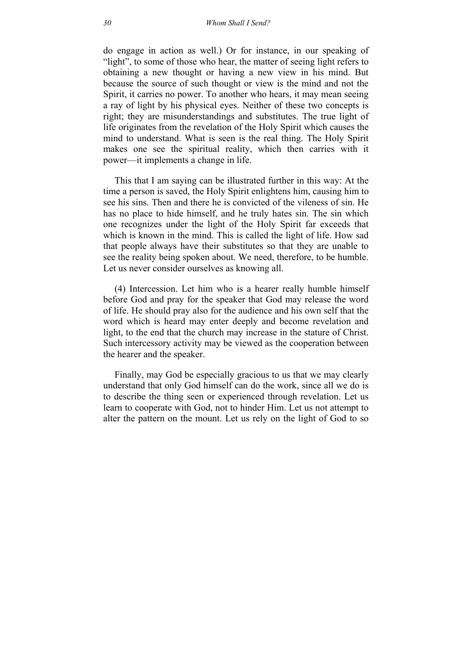do engage in action as well.) Or for instance, in our speaking of "light", to some of those who hear, the matter of seeing light refers to obtaining a new thought or having a new view in his mind. But because the source of such thought or view is the mind and not the Spirit, it carries no power. To another who hears, it may mean seeing a ray of light by his physical eyes. Neither of these two concepts is right; they are misunderstandings and substitutes. The true light of life originates from the revelation of the Holy Spirit which causes the mind to understand. What is seen is the real thing. The Holy Spirit makes one see the spiritual reality, which then carries with it power—it implements a change in life.

This that I am saying can be illustrated further in this way: At the time a person is saved, the Holy Spirit enlightens him, causing him to see his sins. Then and there he is convicted of the vileness of sin. He has no place to hide himself, and he truly hates sin. The sin which one recognizes under the light of the Holy Spirit far exceeds that which is known in the mind. This is called the light of life. How sad that people always have their substitutes so that they are unable to see the reality being spoken about. We need, therefore, to be humble. Let us never consider ourselves as knowing all.

(4) Intercession. Let him who is a hearer really humble himself before God and pray for the speaker that God may release the word of life. He should pray also for the audience and his own self that the word which is heard may enter deeply and become revelation and light, to the end that the church may increase in the stature of Christ. Such intercessory activity may be viewed as the cooperation between the hearer and the speaker.

Finally, may God be especially gracious to us that we may clearly understand that only God himself can do the work, since all we do is to describe the thing seen or experienced through revelation. Let us learn to cooperate with God, not to hinder Him. Let us not attempt to alter the pattern on the mount. Let us rely on the light of God to so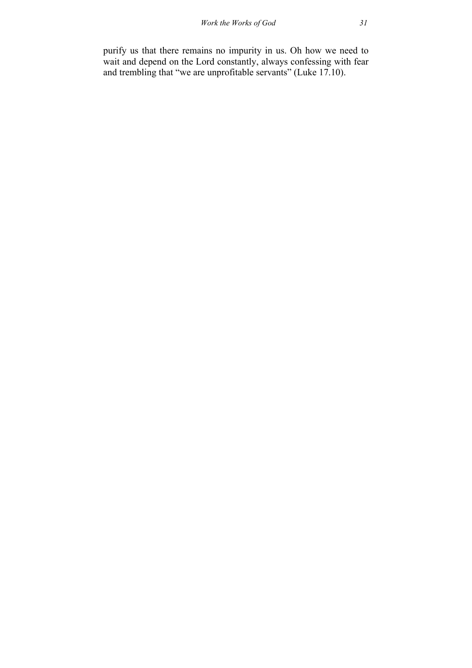purify us that there remains no impurity in us. Oh how we need to wait and depend on the Lord constantly, always confessing with fear and trembling that "we are unprofitable servants" (Luke 17.10).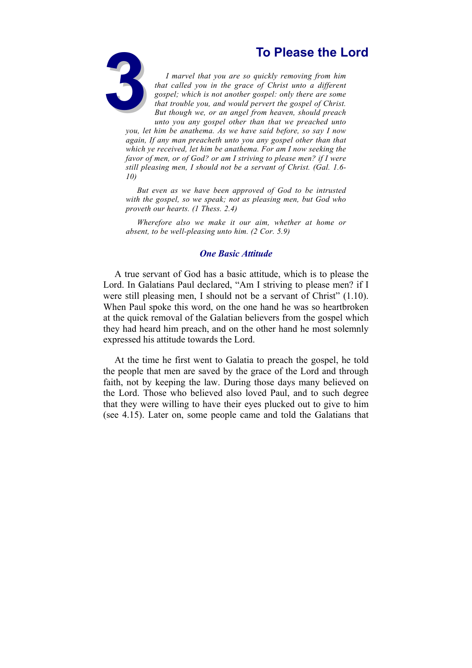

<span id="page-32-0"></span>**3To Please the Lord**<br>
1 marvel that you are so quickly removing from him<br>
that called you in the grace of Christ unto a different<br>
gospel; which is not another gospel: only there are some<br>
that trouble you, and would perv *I marvel that you are so quickly removing from him that called you in the grace of Christ unto a different gospel; which is not another gospel: only there are some that trouble you, and would pervert the gospel of Christ. But though we, or an angel from heaven, should preach unto you any gospel other than that we preached unto you, let him be anathema. As we have said before, so say I now again, If any man preacheth unto you any gospel other than that* 

*which ye received, let him be anathema. For am I now seeking the favor of men, or of God? or am I striving to please men? if I were still pleasing men, I should not be a servant of Christ. (Gal. 1.6- 10)*

*But even as we have been approved of God to be intrusted with the gospel, so we speak; not as pleasing men, but God who proveth our hearts. (1 Thess. 2.4)*

*Wherefore also we make it our aim, whether at home or absent, to be well-pleasing unto him. (2 Cor. 5.9)*

#### *One Basic Attitude*

A true servant of God has a basic attitude, which is to please the Lord. In Galatians Paul declared, "Am I striving to please men? if I were still pleasing men, I should not be a servant of Christ" (1.10). When Paul spoke this word, on the one hand he was so heartbroken at the quick removal of the Galatian believers from the gospel which they had heard him preach, and on the other hand he most solemnly expressed his attitude towards the Lord.

At the time he first went to Galatia to preach the gospel, he told the people that men are saved by the grace of the Lord and through faith, not by keeping the law. During those days many believed on the Lord. Those who believed also loved Paul, and to such degree that they were willing to have their eyes plucked out to give to him (see 4.15). Later on, some people came and told the Galatians that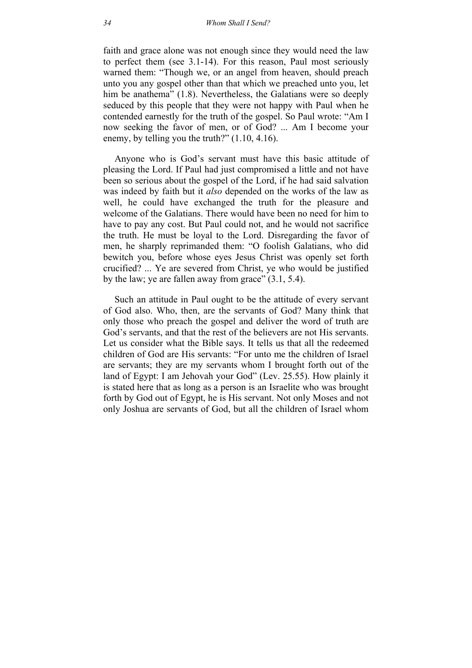faith and grace alone was not enough since they would need the law to perfect them (see 3.1-14). For this reason, Paul most seriously warned them: "Though we, or an angel from heaven, should preach unto you any gospel other than that which we preached unto you, let him be anathema" (1.8). Nevertheless, the Galatians were so deeply seduced by this people that they were not happy with Paul when he contended earnestly for the truth of the gospel. So Paul wrote: "Am I now seeking the favor of men, or of God? ... Am I become your enemy, by telling you the truth?" (1.10, 4.16).

Anyone who is God's servant must have this basic attitude of pleasing the Lord. If Paul had just compromised a little and not have been so serious about the gospel of the Lord, if he had said salvation was indeed by faith but it *also* depended on the works of the law as well, he could have exchanged the truth for the pleasure and welcome of the Galatians. There would have been no need for him to have to pay any cost. But Paul could not, and he would not sacrifice the truth. He must be loyal to the Lord. Disregarding the favor of men, he sharply reprimanded them: "O foolish Galatians, who did bewitch you, before whose eyes Jesus Christ was openly set forth crucified? ... Ye are severed from Christ, ye who would be justified by the law; ye are fallen away from grace" (3.1, 5.4).

Such an attitude in Paul ought to be the attitude of every servant of God also. Who, then, are the servants of God? Many think that only those who preach the gospel and deliver the word of truth are God's servants, and that the rest of the believers are not His servants. Let us consider what the Bible says. It tells us that all the redeemed children of God are His servants: "For unto me the children of Israel are servants; they are my servants whom I brought forth out of the land of Egypt: I am Jehovah your God" (Lev. 25.55). How plainly it is stated here that as long as a person is an Israelite who was brought forth by God out of Egypt, he is His servant. Not only Moses and not only Joshua are servants of God, but all the children of Israel whom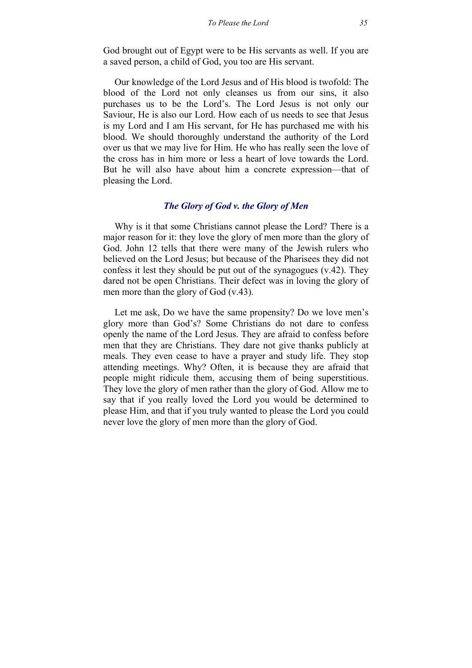God brought out of Egypt were to be His servants as well. If you are a saved person, a child of God, you too are His servant.

Our knowledge of the Lord Jesus and of His blood is twofold: The blood of the Lord not only cleanses us from our sins, it also purchases us to be the Lord's. The Lord Jesus is not only our Saviour, He is also our Lord. How each of us needs to see that Jesus is my Lord and I am His servant, for He has purchased me with his blood. We should thoroughly understand the authority of the Lord over us that we may live for Him. He who has really seen the love of the cross has in him more or less a heart of love towards the Lord. But he will also have about him a concrete expression—that of pleasing the Lord.

### *The Glory of God v. the Glory of Men*

Why is it that some Christians cannot please the Lord? There is a major reason for it: they love the glory of men more than the glory of God. John 12 tells that there were many of the Jewish rulers who believed on the Lord Jesus; but because of the Pharisees they did not confess it lest they should be put out of the synagogues (v.42). They dared not be open Christians. Their defect was in loving the glory of men more than the glory of God (v.43).

Let me ask, Do we have the same propensity? Do we love men's glory more than God's? Some Christians do not dare to confess openly the name of the Lord Jesus. They are afraid to confess before men that they are Christians. They dare not give thanks publicly at meals. They even cease to have a prayer and study life. They stop attending meetings. Why? Often, it is because they are afraid that people might ridicule them, accusing them of being superstitious. They love the glory of men rather than the glory of God. Allow me to say that if you really loved the Lord you would be determined to please Him, and that if you truly wanted to please the Lord you could never love the glory of men more than the glory of God.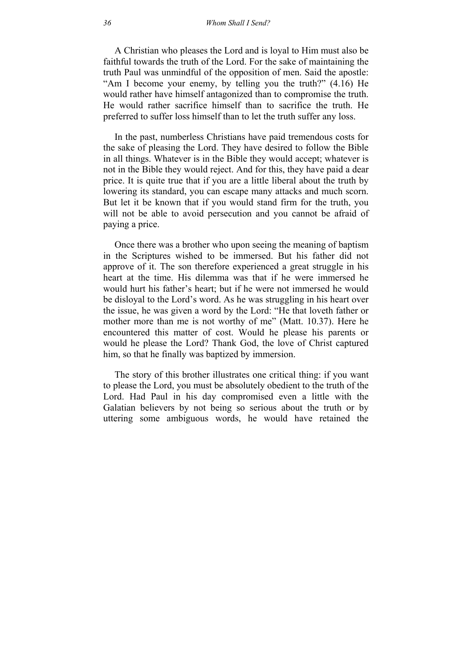A Christian who pleases the Lord and is loyal to Him must also be faithful towards the truth of the Lord. For the sake of maintaining the truth Paul was unmindful of the opposition of men. Said the apostle: "Am I become your enemy, by telling you the truth?" (4.16) He would rather have himself antagonized than to compromise the truth. He would rather sacrifice himself than to sacrifice the truth. He preferred to suffer loss himself than to let the truth suffer any loss.

In the past, numberless Christians have paid tremendous costs for the sake of pleasing the Lord. They have desired to follow the Bible in all things. Whatever is in the Bible they would accept; whatever is not in the Bible they would reject. And for this, they have paid a dear price. It is quite true that if you are a little liberal about the truth by lowering its standard, you can escape many attacks and much scorn. But let it be known that if you would stand firm for the truth, you will not be able to avoid persecution and you cannot be afraid of paying a price.

Once there was a brother who upon seeing the meaning of baptism in the Scriptures wished to be immersed. But his father did not approve of it. The son therefore experienced a great struggle in his heart at the time. His dilemma was that if he were immersed he would hurt his father's heart; but if he were not immersed he would be disloyal to the Lord's word. As he was struggling in his heart over the issue, he was given a word by the Lord: "He that loveth father or mother more than me is not worthy of me" (Matt. 10.37). Here he encountered this matter of cost. Would he please his parents or would he please the Lord? Thank God, the love of Christ captured him, so that he finally was baptized by immersion.

The story of this brother illustrates one critical thing: if you want to please the Lord, you must be absolutely obedient to the truth of the Lord. Had Paul in his day compromised even a little with the Galatian believers by not being so serious about the truth or by uttering some ambiguous words, he would have retained the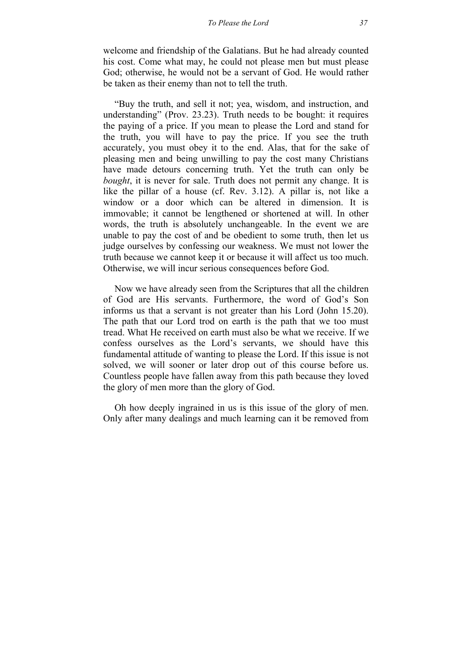welcome and friendship of the Galatians. But he had already counted his cost. Come what may, he could not please men but must please God; otherwise, he would not be a servant of God. He would rather be taken as their enemy than not to tell the truth.

"Buy the truth, and sell it not; yea, wisdom, and instruction, and understanding" (Prov. 23.23). Truth needs to be bought: it requires the paying of a price. If you mean to please the Lord and stand for the truth, you will have to pay the price. If you see the truth accurately, you must obey it to the end. Alas, that for the sake of pleasing men and being unwilling to pay the cost many Christians have made detours concerning truth. Yet the truth can only be *bought*, it is never for sale. Truth does not permit any change. It is like the pillar of a house (cf. Rev. 3.12). A pillar is, not like a window or a door which can be altered in dimension. It is immovable; it cannot be lengthened or shortened at will. In other words, the truth is absolutely unchangeable. In the event we are unable to pay the cost of and be obedient to some truth, then let us judge ourselves by confessing our weakness. We must not lower the truth because we cannot keep it or because it will affect us too much. Otherwise, we will incur serious consequences before God.

Now we have already seen from the Scriptures that all the children of God are His servants. Furthermore, the word of God's Son informs us that a servant is not greater than his Lord (John 15.20). The path that our Lord trod on earth is the path that we too must tread. What He received on earth must also be what we receive. If we confess ourselves as the Lord's servants, we should have this fundamental attitude of wanting to please the Lord. If this issue is not solved, we will sooner or later drop out of this course before us. Countless people have fallen away from this path because they loved the glory of men more than the glory of God.

Oh how deeply ingrained in us is this issue of the glory of men. Only after many dealings and much learning can it be removed from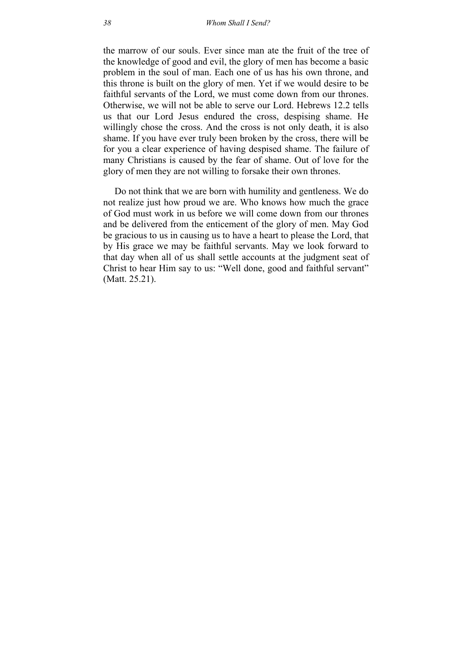the marrow of our souls. Ever since man ate the fruit of the tree of the knowledge of good and evil, the glory of men has become a basic problem in the soul of man. Each one of us has his own throne, and this throne is built on the glory of men. Yet if we would desire to be faithful servants of the Lord, we must come down from our thrones. Otherwise, we will not be able to serve our Lord. Hebrews 12.2 tells us that our Lord Jesus endured the cross, despising shame. He willingly chose the cross. And the cross is not only death, it is also shame. If you have ever truly been broken by the cross, there will be for you a clear experience of having despised shame. The failure of many Christians is caused by the fear of shame. Out of love for the glory of men they are not willing to forsake their own thrones.

Do not think that we are born with humility and gentleness. We do not realize just how proud we are. Who knows how much the grace of God must work in us before we will come down from our thrones and be delivered from the enticement of the glory of men. May God be gracious to us in causing us to have a heart to please the Lord, that by His grace we may be faithful servants. May we look forward to that day when all of us shall settle accounts at the judgment seat of Christ to hear Him say to us: "Well done, good and faithful servant" (Matt. 25.21).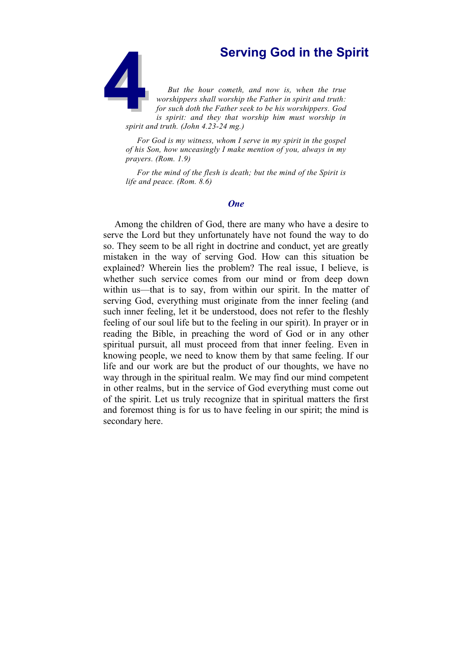**45 Serving God in the Spirit Serving God in the Spirit But the hour cometh, and now is, when the true worshippers shall worship the Father in spirit and truth: for such doth the Father seek to be his worshippers. God is s** *But the hour cometh, and now is, when the true worshippers shall worship the Father in spirit and truth: for such doth the Father seek to be his worshippers. God is spirit: and they that worship him must worship in spirit and truth. (John 4.23-24 mg.)*

*For God is my witness, whom I serve in my spirit in the gospel of his Son, how unceasingly I make mention of you, always in my prayers. (Rom. 1.9)*

*For the mind of the flesh is death; but the mind of the Spirit is life and peace. (Rom. 8.6)*

## *One*

Among the children of God, there are many who have a desire to serve the Lord but they unfortunately have not found the way to do so. They seem to be all right in doctrine and conduct, yet are greatly mistaken in the way of serving God. How can this situation be explained? Wherein lies the problem? The real issue, I believe, is whether such service comes from our mind or from deep down within us—that is to say, from within our spirit. In the matter of serving God, everything must originate from the inner feeling (and such inner feeling, let it be understood, does not refer to the fleshly feeling of our soul life but to the feeling in our spirit). In prayer or in reading the Bible, in preaching the word of God or in any other spiritual pursuit, all must proceed from that inner feeling. Even in knowing people, we need to know them by that same feeling. If our life and our work are but the product of our thoughts, we have no way through in the spiritual realm. We may find our mind competent in other realms, but in the service of God everything must come out of the spirit. Let us truly recognize that in spiritual matters the first and foremost thing is for us to have feeling in our spirit; the mind is secondary here.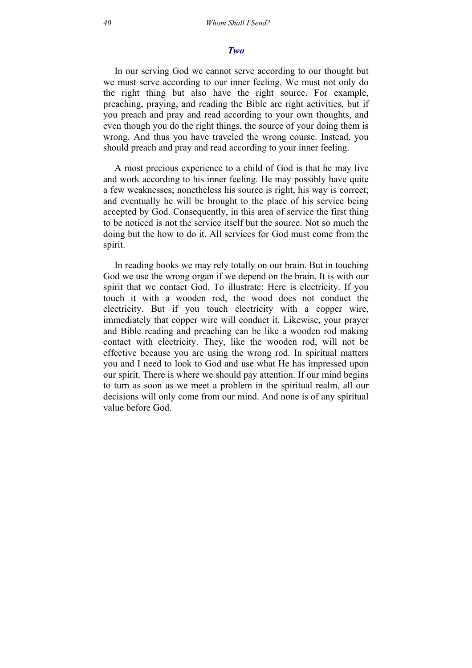## *Two*

In our serving God we cannot serve according to our thought but we must serve according to our inner feeling. We must not only do the right thing but also have the right source. For example, preaching, praying, and reading the Bible are right activities, but if you preach and pray and read according to your own thoughts, and even though you do the right things, the source of your doing them is wrong. And thus you have traveled the wrong course. Instead, you should preach and pray and read according to your inner feeling.

A most precious experience to a child of God is that he may live and work according to his inner feeling. He may possibly have quite a few weaknesses; nonetheless his source is right, his way is correct; and eventually he will be brought to the place of his service being accepted by God. Consequently, in this area of service the first thing to be noticed is not the service itself but the source. Not so much the doing but the how to do it. All services for God must come from the spirit.

In reading books we may rely totally on our brain. But in touching God we use the wrong organ if we depend on the brain. It is with our spirit that we contact God. To illustrate: Here is electricity. If you touch it with a wooden rod, the wood does not conduct the electricity. But if you touch electricity with a copper wire, immediately that copper wire will conduct it. Likewise, your prayer and Bible reading and preaching can be like a wooden rod making contact with electricity. They, like the wooden rod, will not be effective because you are using the wrong rod. In spiritual matters you and I need to look to God and use what He has impressed upon our spirit. There is where we should pay attention. If our mind begins to turn as soon as we meet a problem in the spiritual realm, all our decisions will only come from our mind. And none is of any spiritual value before God.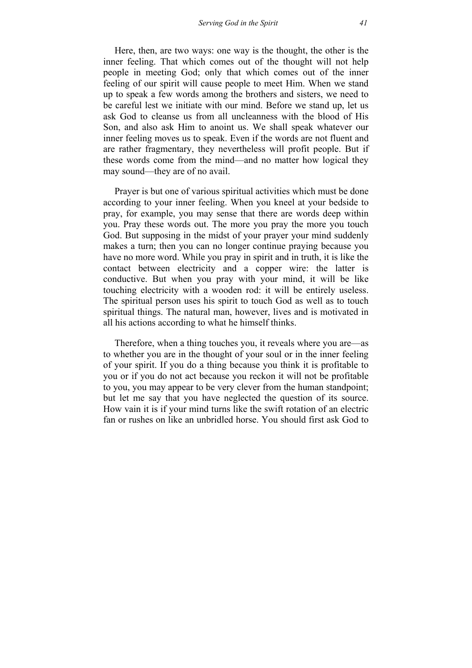Here, then, are two ways: one way is the thought, the other is the inner feeling. That which comes out of the thought will not help people in meeting God; only that which comes out of the inner feeling of our spirit will cause people to meet Him. When we stand up to speak a few words among the brothers and sisters, we need to be careful lest we initiate with our mind. Before we stand up, let us ask God to cleanse us from all uncleanness with the blood of His Son, and also ask Him to anoint us. We shall speak whatever our inner feeling moves us to speak. Even if the words are not fluent and are rather fragmentary, they nevertheless will profit people. But if these words come from the mind—and no matter how logical they may sound—they are of no avail.

Prayer is but one of various spiritual activities which must be done according to your inner feeling. When you kneel at your bedside to pray, for example, you may sense that there are words deep within you. Pray these words out. The more you pray the more you touch God. But supposing in the midst of your prayer your mind suddenly makes a turn; then you can no longer continue praying because you have no more word. While you pray in spirit and in truth, it is like the contact between electricity and a copper wire: the latter is conductive. But when you pray with your mind, it will be like touching electricity with a wooden rod: it will be entirely useless. The spiritual person uses his spirit to touch God as well as to touch spiritual things. The natural man, however, lives and is motivated in all his actions according to what he himself thinks.

Therefore, when a thing touches you, it reveals where you are—as to whether you are in the thought of your soul or in the inner feeling of your spirit. If you do a thing because you think it is profitable to you or if you do not act because you reckon it will not be profitable to you, you may appear to be very clever from the human standpoint; but let me say that you have neglected the question of its source. How vain it is if your mind turns like the swift rotation of an electric fan or rushes on like an unbridled horse. You should first ask God to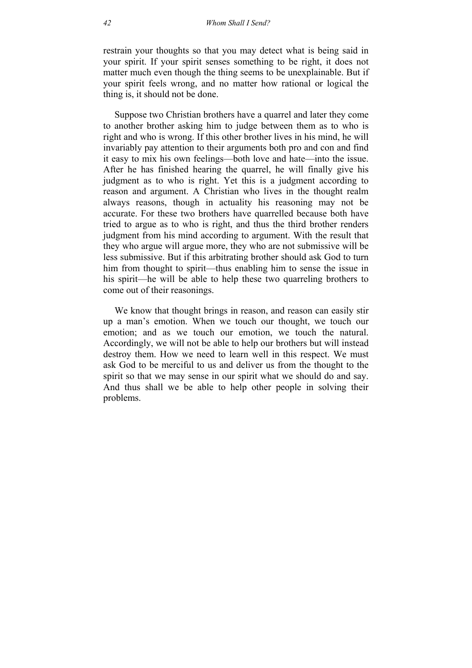restrain your thoughts so that you may detect what is being said in your spirit. If your spirit senses something to be right, it does not matter much even though the thing seems to be unexplainable. But if your spirit feels wrong, and no matter how rational or logical the thing is, it should not be done.

Suppose two Christian brothers have a quarrel and later they come to another brother asking him to judge between them as to who is right and who is wrong. If this other brother lives in his mind, he will invariably pay attention to their arguments both pro and con and find it easy to mix his own feelings—both love and hate—into the issue. After he has finished hearing the quarrel, he will finally give his judgment as to who is right. Yet this is a judgment according to reason and argument. A Christian who lives in the thought realm always reasons, though in actuality his reasoning may not be accurate. For these two brothers have quarrelled because both have tried to argue as to who is right, and thus the third brother renders judgment from his mind according to argument. With the result that they who argue will argue more, they who are not submissive will be less submissive. But if this arbitrating brother should ask God to turn him from thought to spirit—thus enabling him to sense the issue in his spirit—he will be able to help these two quarreling brothers to come out of their reasonings.

We know that thought brings in reason, and reason can easily stir up a man's emotion. When we touch our thought, we touch our emotion; and as we touch our emotion, we touch the natural. Accordingly, we will not be able to help our brothers but will instead destroy them. How we need to learn well in this respect. We must ask God to be merciful to us and deliver us from the thought to the spirit so that we may sense in our spirit what we should do and say. And thus shall we be able to help other people in solving their problems.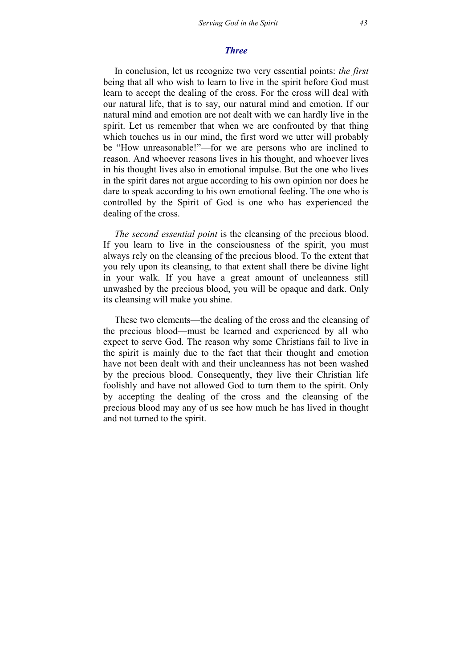## *Three*

In conclusion, let us recognize two very essential points: *the first* being that all who wish to learn to live in the spirit before God must learn to accept the dealing of the cross. For the cross will deal with our natural life, that is to say, our natural mind and emotion. If our natural mind and emotion are not dealt with we can hardly live in the spirit. Let us remember that when we are confronted by that thing which touches us in our mind, the first word we utter will probably be "How unreasonable!"—for we are persons who are inclined to reason. And whoever reasons lives in his thought, and whoever lives in his thought lives also in emotional impulse. But the one who lives in the spirit dares not argue according to his own opinion nor does he dare to speak according to his own emotional feeling. The one who is controlled by the Spirit of God is one who has experienced the dealing of the cross.

*The second essential point* is the cleansing of the precious blood. If you learn to live in the consciousness of the spirit, you must always rely on the cleansing of the precious blood. To the extent that you rely upon its cleansing, to that extent shall there be divine light in your walk. If you have a great amount of uncleanness still unwashed by the precious blood, you will be opaque and dark. Only its cleansing will make you shine.

These two elements—the dealing of the cross and the cleansing of the precious blood—must be learned and experienced by all who expect to serve God. The reason why some Christians fail to live in the spirit is mainly due to the fact that their thought and emotion have not been dealt with and their uncleanness has not been washed by the precious blood. Consequently, they live their Christian life foolishly and have not allowed God to turn them to the spirit. Only by accepting the dealing of the cross and the cleansing of the precious blood may any of us see how much he has lived in thought and not turned to the spirit.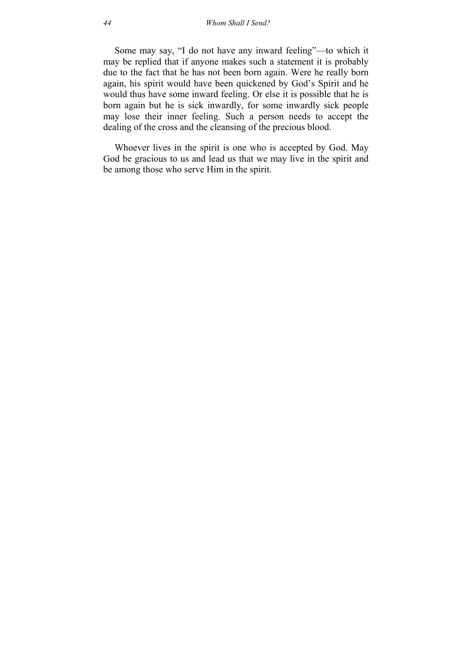Some may say, "I do not have any inward feeling"—to which it may be replied that if anyone makes such a statement it is probably due to the fact that he has not been born again. Were he really born again, his spirit would have been quickened by God's Spirit and he would thus have some inward feeling. Or else it is possible that he is born again but he is sick inwardly, for some inwardly sick people may lose their inner feeling. Such a person needs to accept the dealing of the cross and the cleansing of the precious blood.

Whoever lives in the spirit is one who is accepted by God. May God be gracious to us and lead us that we may live in the spirit and be among those who serve Him in the spirit.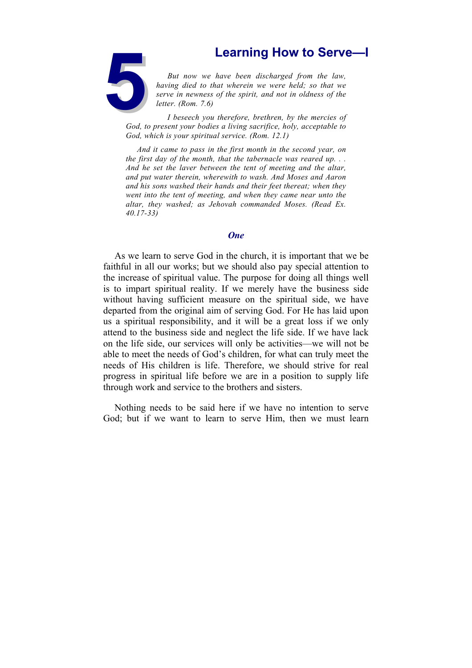**5Learning How to Serve—I**<br> **5Learning How to Serve—I**<br> **5Learning** died to that wherein we were held; so that we serve in newness of the spirit, and not in oldness of the letter. (Rom. 7.6)<br> **5Learning I beseech you there** *But now we have been discharged from the law, having died to that wherein we were held; so that we serve in newness of the spirit, and not in oldness of the letter. (Rom. 7.6)*

*I beseech you therefore, brethren, by the mercies of God, to present your bodies a living sacrifice, holy, acceptable to God, which is your spiritual service. (Rom. 12.1)*

*And it came to pass in the first month in the second year, on the first day of the month, that the tabernacle was reared up. . . And he set the laver between the tent of meeting and the altar, and put water therein, wherewith to wash. And Moses and Aaron and his sons washed their hands and their feet thereat; when they went into the tent of meeting, and when they came near unto the altar, they washed; as Jehovah commanded Moses. (Read Ex. 40.17-33)*

### *One*

As we learn to serve God in the church, it is important that we be faithful in all our works; but we should also pay special attention to the increase of spiritual value. The purpose for doing all things well is to impart spiritual reality. If we merely have the business side without having sufficient measure on the spiritual side, we have departed from the original aim of serving God. For He has laid upon us a spiritual responsibility, and it will be a great loss if we only attend to the business side and neglect the life side. If we have lack on the life side, our services will only be activities—we will not be able to meet the needs of God's children, for what can truly meet the needs of His children is life. Therefore, we should strive for real progress in spiritual life before we are in a position to supply life through work and service to the brothers and sisters.

Nothing needs to be said here if we have no intention to serve God; but if we want to learn to serve Him, then we must learn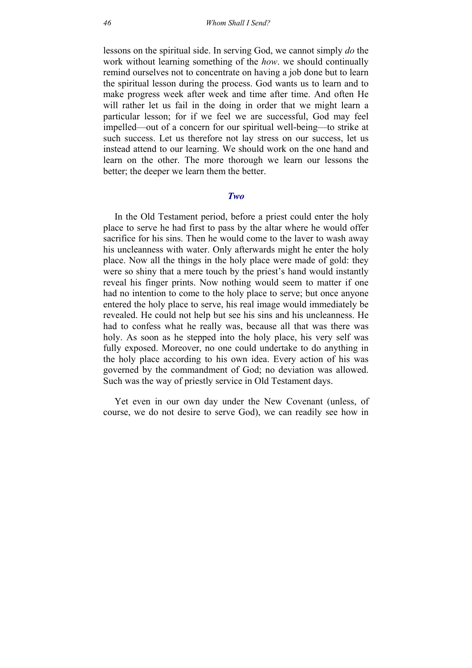lessons on the spiritual side. In serving God, we cannot simply *do* the work without learning something of the *how*. we should continually remind ourselves not to concentrate on having a job done but to learn the spiritual lesson during the process. God wants us to learn and to make progress week after week and time after time. And often He will rather let us fail in the doing in order that we might learn a particular lesson; for if we feel we are successful, God may feel impelled—out of a concern for our spiritual well-being—to strike at such success. Let us therefore not lay stress on our success, let us instead attend to our learning. We should work on the one hand and learn on the other. The more thorough we learn our lessons the better; the deeper we learn them the better.

### *Two*

In the Old Testament period, before a priest could enter the holy place to serve he had first to pass by the altar where he would offer sacrifice for his sins. Then he would come to the laver to wash away his uncleanness with water. Only afterwards might he enter the holy place. Now all the things in the holy place were made of gold: they were so shiny that a mere touch by the priest's hand would instantly reveal his finger prints. Now nothing would seem to matter if one had no intention to come to the holy place to serve; but once anyone entered the holy place to serve, his real image would immediately be revealed. He could not help but see his sins and his uncleanness. He had to confess what he really was, because all that was there was holy. As soon as he stepped into the holy place, his very self was fully exposed. Moreover, no one could undertake to do anything in the holy place according to his own idea. Every action of his was governed by the commandment of God; no deviation was allowed. Such was the way of priestly service in Old Testament days.

Yet even in our own day under the New Covenant (unless, of course, we do not desire to serve God), we can readily see how in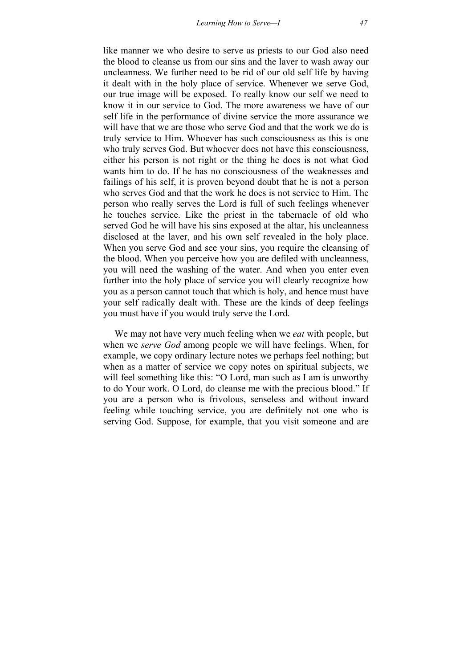like manner we who desire to serve as priests to our God also need the blood to cleanse us from our sins and the laver to wash away our uncleanness. We further need to be rid of our old self life by having it dealt with in the holy place of service. Whenever we serve God, our true image will be exposed. To really know our self we need to know it in our service to God. The more awareness we have of our self life in the performance of divine service the more assurance we will have that we are those who serve God and that the work we do is truly service to Him. Whoever has such consciousness as this is one who truly serves God. But whoever does not have this consciousness, either his person is not right or the thing he does is not what God wants him to do. If he has no consciousness of the weaknesses and failings of his self, it is proven beyond doubt that he is not a person who serves God and that the work he does is not service to Him. The person who really serves the Lord is full of such feelings whenever he touches service. Like the priest in the tabernacle of old who served God he will have his sins exposed at the altar, his uncleanness disclosed at the laver, and his own self revealed in the holy place. When you serve God and see your sins, you require the cleansing of the blood. When you perceive how you are defiled with uncleanness, you will need the washing of the water. And when you enter even further into the holy place of service you will clearly recognize how you as a person cannot touch that which is holy, and hence must have your self radically dealt with. These are the kinds of deep feelings you must have if you would truly serve the Lord.

We may not have very much feeling when we *eat* with people, but when we *serve God* among people we will have feelings. When, for example, we copy ordinary lecture notes we perhaps feel nothing; but when as a matter of service we copy notes on spiritual subjects, we will feel something like this: "O Lord, man such as I am is unworthy to do Your work. O Lord, do cleanse me with the precious blood." If you are a person who is frivolous, senseless and without inward feeling while touching service, you are definitely not one who is serving God. Suppose, for example, that you visit someone and are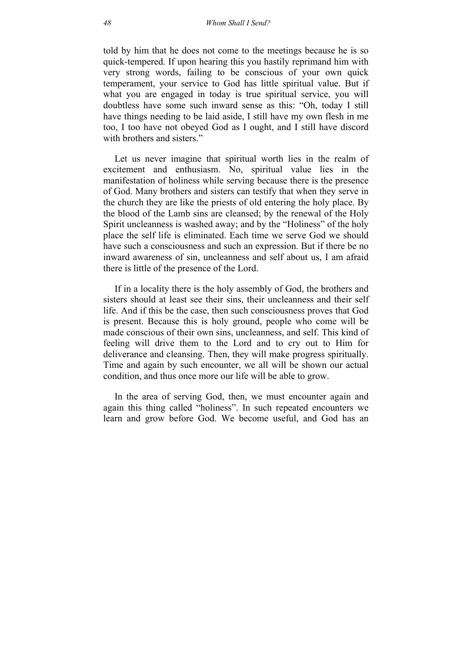told by him that he does not come to the meetings because he is so quick-tempered. If upon hearing this you hastily reprimand him with very strong words, failing to be conscious of your own quick temperament, your service to God has little spiritual value. But if what you are engaged in today is true spiritual service, you will doubtless have some such inward sense as this: "Oh, today I still have things needing to be laid aside, I still have my own flesh in me too, I too have not obeyed God as I ought, and I still have discord with brothers and sisters."

Let us never imagine that spiritual worth lies in the realm of excitement and enthusiasm. No, spiritual value lies in the manifestation of holiness while serving because there is the presence of God. Many brothers and sisters can testify that when they serve in the church they are like the priests of old entering the holy place. By the blood of the Lamb sins are cleansed; by the renewal of the Holy Spirit uncleanness is washed away; and by the "Holiness" of the holy place the self life is eliminated. Each time we serve God we should have such a consciousness and such an expression. But if there be no inward awareness of sin, uncleanness and self about us, I am afraid there is little of the presence of the Lord.

If in a locality there is the holy assembly of God, the brothers and sisters should at least see their sins, their uncleanness and their self life. And if this be the case, then such consciousness proves that God is present. Because this is holy ground, people who come will be made conscious of their own sins, uncleanness, and self. This kind of feeling will drive them to the Lord and to cry out to Him for deliverance and cleansing. Then, they will make progress spiritually. Time and again by such encounter, we all will be shown our actual condition, and thus once more our life will be able to grow.

In the area of serving God, then, we must encounter again and again this thing called "holiness". In such repeated encounters we learn and grow before God. We become useful, and God has an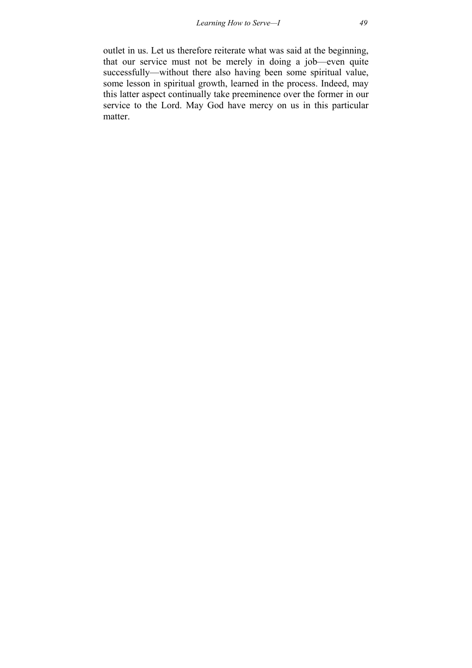outlet in us. Let us therefore reiterate what was said at the beginning, that our service must not be merely in doing a job—even quite successfully—without there also having been some spiritual value, some lesson in spiritual growth, learned in the process. Indeed, may this latter aspect continually take preeminence over the former in our service to the Lord. May God have mercy on us in this particular matter.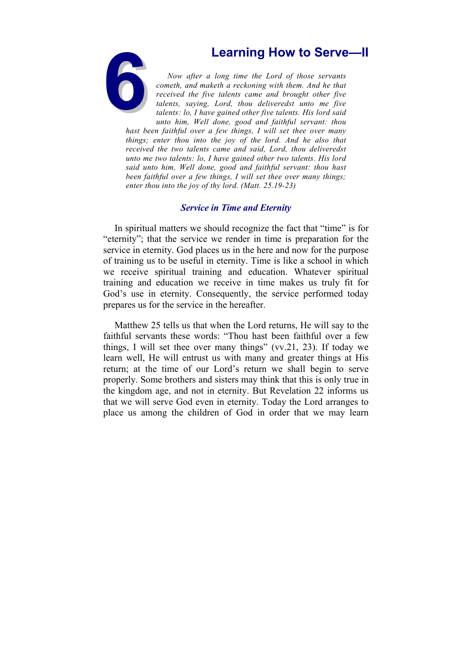

**Examing How to Serve—II**<br>
Now after a long time the Lord of those servants<br>
cometh, and maketh a reckoning with them. And he that<br>
received the five talents came and brought other five<br>
talents, saying, Lord, thou deliver *Now after a long time the Lord of those servants cometh, and maketh a reckoning with them. And he that received the five talents came and brought other five talents, saying, Lord, thou deliveredst unto me five talents: lo, I have gained other five talents. His lord said unto him, Well done, good and faithful servant: thou* 

*hast been faithful over a few things, I will set thee over many things; enter thou into the joy of the lord. And he also that received the two talents came and said, Lord, thou deliveredst unto me two talents: lo, I have gained other two talents. His lord said unto him, Well done, good and faithful servant: thou hast been faithful over a few things, I will set thee over many things; enter thou into the joy of thy lord. (Matt. 25.19-23)*

# *Service in Time and Eternity*

In spiritual matters we should recognize the fact that "time" is for "eternity"; that the service we render in time is preparation for the service in eternity. God places us in the here and now for the purpose of training us to be useful in eternity. Time is like a school in which we receive spiritual training and education. Whatever spiritual training and education we receive in time makes us truly fit for God's use in eternity. Consequently, the service performed today prepares us for the service in the hereafter.

Matthew 25 tells us that when the Lord returns, He will say to the faithful servants these words: "Thou hast been faithful over a few things, I will set thee over many things" (vv.21, 23). If today we learn well, He will entrust us with many and greater things at His return; at the time of our Lord's return we shall begin to serve properly. Some brothers and sisters may think that this is only true in the kingdom age, and not in eternity. But Revelation 22 informs us that we will serve God even in eternity. Today the Lord arranges to place us among the children of God in order that we may learn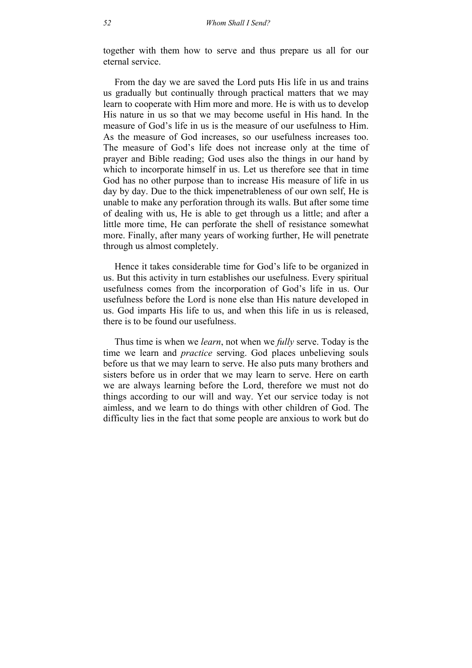together with them how to serve and thus prepare us all for our eternal service.

From the day we are saved the Lord puts His life in us and trains us gradually but continually through practical matters that we may learn to cooperate with Him more and more. He is with us to develop His nature in us so that we may become useful in His hand. In the measure of God's life in us is the measure of our usefulness to Him. As the measure of God increases, so our usefulness increases too. The measure of God's life does not increase only at the time of prayer and Bible reading; God uses also the things in our hand by which to incorporate himself in us. Let us therefore see that in time God has no other purpose than to increase His measure of life in us day by day. Due to the thick impenetrableness of our own self, He is unable to make any perforation through its walls. But after some time of dealing with us, He is able to get through us a little; and after a little more time, He can perforate the shell of resistance somewhat more. Finally, after many years of working further, He will penetrate through us almost completely.

Hence it takes considerable time for God's life to be organized in us. But this activity in turn establishes our usefulness. Every spiritual usefulness comes from the incorporation of God's life in us. Our usefulness before the Lord is none else than His nature developed in us. God imparts His life to us, and when this life in us is released, there is to be found our usefulness.

Thus time is when we *learn*, not when we *fully* serve. Today is the time we learn and *practice* serving. God places unbelieving souls before us that we may learn to serve. He also puts many brothers and sisters before us in order that we may learn to serve. Here on earth we are always learning before the Lord, therefore we must not do things according to our will and way. Yet our service today is not aimless, and we learn to do things with other children of God. The difficulty lies in the fact that some people are anxious to work but do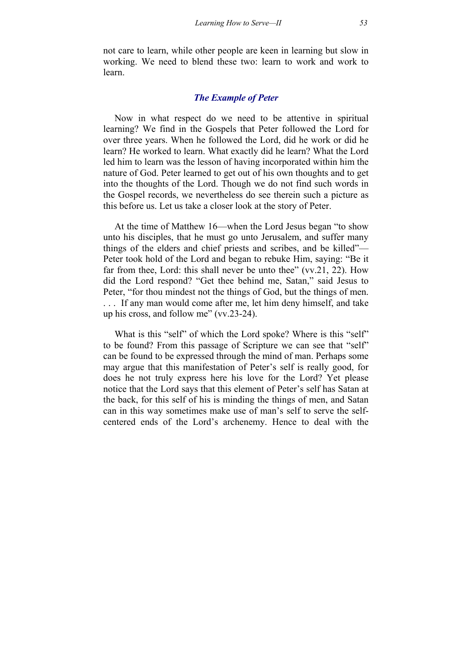not care to learn, while other people are keen in learning but slow in working. We need to blend these two: learn to work and work to learn.

# *The Example of Peter*

Now in what respect do we need to be attentive in spiritual learning? We find in the Gospels that Peter followed the Lord for over three years. When he followed the Lord, did he work or did he learn? He worked to learn. What exactly did he learn? What the Lord led him to learn was the lesson of having incorporated within him the nature of God. Peter learned to get out of his own thoughts and to get into the thoughts of the Lord. Though we do not find such words in the Gospel records, we nevertheless do see therein such a picture as this before us. Let us take a closer look at the story of Peter.

At the time of Matthew 16—when the Lord Jesus began "to show unto his disciples, that he must go unto Jerusalem, and suffer many things of the elders and chief priests and scribes, and be killed"— Peter took hold of the Lord and began to rebuke Him, saying: "Be it far from thee, Lord: this shall never be unto thee" (vv.21, 22). How did the Lord respond? "Get thee behind me, Satan," said Jesus to Peter, "for thou mindest not the things of God, but the things of men. . . . If any man would come after me, let him deny himself, and take up his cross, and follow me" (vv.23-24).

What is this "self" of which the Lord spoke? Where is this "self" to be found? From this passage of Scripture we can see that "self" can be found to be expressed through the mind of man. Perhaps some may argue that this manifestation of Peter's self is really good, for does he not truly express here his love for the Lord? Yet please notice that the Lord says that this element of Peter's self has Satan at the back, for this self of his is minding the things of men, and Satan can in this way sometimes make use of man's self to serve the selfcentered ends of the Lord's archenemy. Hence to deal with the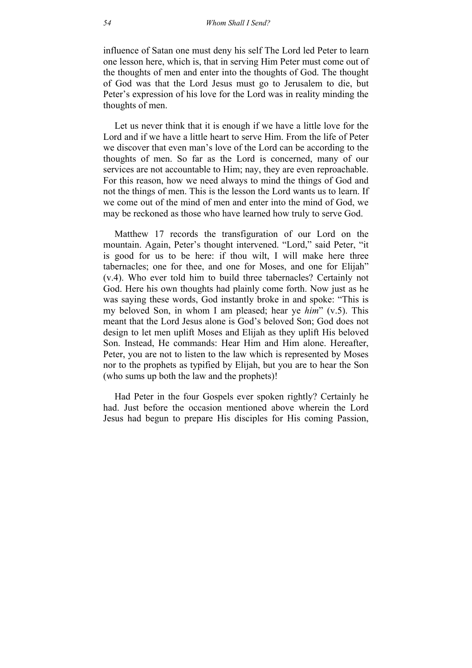influence of Satan one must deny his self The Lord led Peter to learn one lesson here, which is, that in serving Him Peter must come out of the thoughts of men and enter into the thoughts of God. The thought of God was that the Lord Jesus must go to Jerusalem to die, but Peter's expression of his love for the Lord was in reality minding the thoughts of men.

Let us never think that it is enough if we have a little love for the Lord and if we have a little heart to serve Him. From the life of Peter we discover that even man's love of the Lord can be according to the thoughts of men. So far as the Lord is concerned, many of our services are not accountable to Him; nay, they are even reproachable. For this reason, how we need always to mind the things of God and not the things of men. This is the lesson the Lord wants us to learn. If we come out of the mind of men and enter into the mind of God, we may be reckoned as those who have learned how truly to serve God.

Matthew 17 records the transfiguration of our Lord on the mountain. Again, Peter's thought intervened. "Lord," said Peter, "it is good for us to be here: if thou wilt, I will make here three tabernacles; one for thee, and one for Moses, and one for Elijah" (v.4). Who ever told him to build three tabernacles? Certainly not God. Here his own thoughts had plainly come forth. Now just as he was saying these words, God instantly broke in and spoke: "This is my beloved Son, in whom I am pleased; hear ye *him*" (v.5). This meant that the Lord Jesus alone is God's beloved Son; God does not design to let men uplift Moses and Elijah as they uplift His beloved Son. Instead, He commands: Hear Him and Him alone. Hereafter, Peter, you are not to listen to the law which is represented by Moses nor to the prophets as typified by Elijah, but you are to hear the Son (who sums up both the law and the prophets)!

Had Peter in the four Gospels ever spoken rightly? Certainly he had. Just before the occasion mentioned above wherein the Lord Jesus had begun to prepare His disciples for His coming Passion,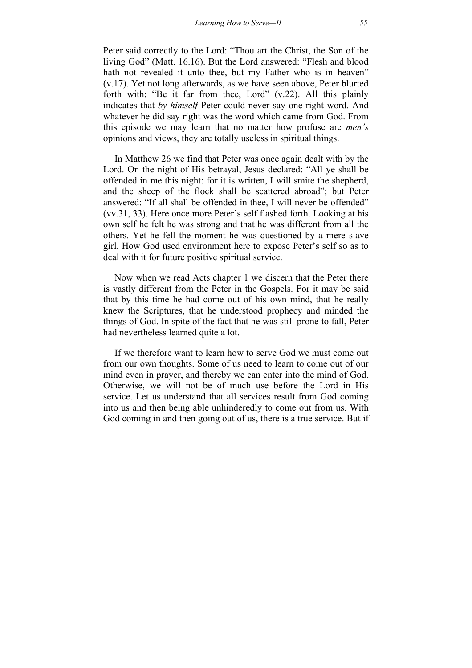Peter said correctly to the Lord: "Thou art the Christ, the Son of the living God" (Matt. 16.16). But the Lord answered: "Flesh and blood hath not revealed it unto thee, but my Father who is in heaven" (v.17). Yet not long afterwards, as we have seen above, Peter blurted forth with: "Be it far from thee, Lord" (v.22). All this plainly indicates that *by himself* Peter could never say one right word. And whatever he did say right was the word which came from God. From this episode we may learn that no matter how profuse are *men's* opinions and views, they are totally useless in spiritual things.

In Matthew 26 we find that Peter was once again dealt with by the Lord. On the night of His betrayal, Jesus declared: "All ye shall be offended in me this night: for it is written, I will smite the shepherd, and the sheep of the flock shall be scattered abroad"; but Peter answered: "If all shall be offended in thee, I will never be offended" (vv.31, 33). Here once more Peter's self flashed forth. Looking at his own self he felt he was strong and that he was different from all the others. Yet he fell the moment he was questioned by a mere slave girl. How God used environment here to expose Peter's self so as to deal with it for future positive spiritual service.

Now when we read Acts chapter 1 we discern that the Peter there is vastly different from the Peter in the Gospels. For it may be said that by this time he had come out of his own mind, that he really knew the Scriptures, that he understood prophecy and minded the things of God. In spite of the fact that he was still prone to fall, Peter had nevertheless learned quite a lot.

If we therefore want to learn how to serve God we must come out from our own thoughts. Some of us need to learn to come out of our mind even in prayer, and thereby we can enter into the mind of God. Otherwise, we will not be of much use before the Lord in His service. Let us understand that all services result from God coming into us and then being able unhinderedly to come out from us. With God coming in and then going out of us, there is a true service. But if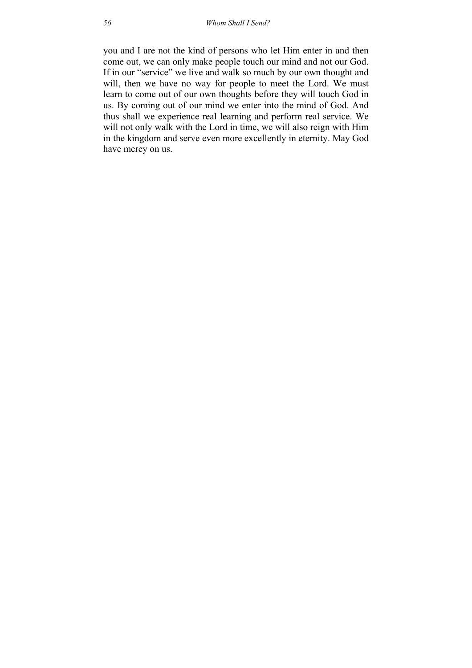you and I are not the kind of persons who let Him enter in and then come out, we can only make people touch our mind and not our God. If in our "service" we live and walk so much by our own thought and will, then we have no way for people to meet the Lord. We must learn to come out of our own thoughts before they will touch God in us. By coming out of our mind we enter into the mind of God. And thus shall we experience real learning and perform real service. We will not only walk with the Lord in time, we will also reign with Him in the kingdom and serve even more excellently in eternity. May God have mercy on us.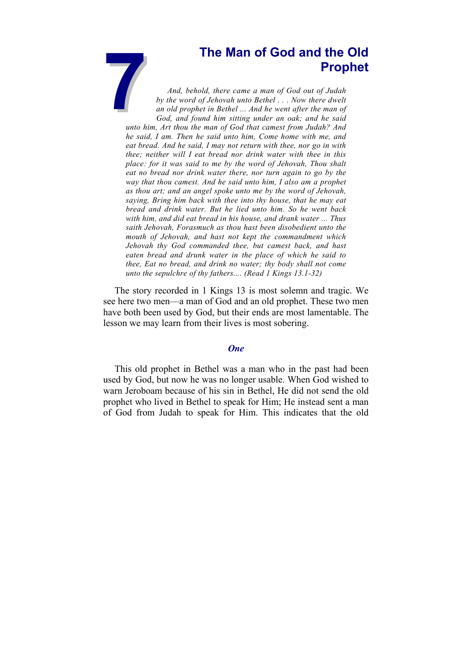# **Prophet**

**7The Man of God and the Old Prophet**<br>*Prophet*<br>*And, behold, there came a man of God out of Judah*<br>*by the word of Jehovah unto Bethel* ... Now there dwelt<br>an old prophet in Bethel ... And he went after the man of<br>God, *And, behold, there came a man of God out of Judah by the word of Jehovah unto Bethel . . . Now there dwelt an old prophet in Bethel ... And he went after the man of God, and found him sitting under an oak; and he said unto him, Art thou the man of God that camest from Judah? And he said, I am. Then he said unto him, Come home with me, and eat bread. And he said, I may not return with thee, nor go in with thee; neither will I eat bread nor drink water with thee in this place: for it was said to me by the word of Jehovah, Thou shalt eat no bread nor drink water there, nor turn again to go by the way that thou camest. And he said unto him, I also am a prophet as thou art; and an angel spoke unto me by the word of Jehovah, saying, Bring him back with thee into thy house, that he may eat bread and drink water. But he lied unto him. So he went back with him, and did eat bread in his house, and drank water ... Thus saith Jehovah, Forasmuch as thou hast been disobedient unto the mouth of Jehovah, and hast not kept the commandment which Jehovah thy God commanded thee, but camest back, and hast eaten bread and drunk water in the place of which he said to thee, Eat no bread, and drink no water; thy body shall not come unto the sepulchre of thy fathers.... (Read 1 Kings 13.1-32)*

The story recorded in 1 Kings 13 is most solemn and tragic. We see here two men—a man of God and an old prophet. These two men have both been used by God, but their ends are most lamentable. The lesson we may learn from their lives is most sobering.

## *One*

This old prophet in Bethel was a man who in the past had been used by God, but now he was no longer usable. When God wished to warn Jeroboam because of his sin in Bethel, He did not send the old prophet who lived in Bethel to speak for Him; He instead sent a man of God from Judah to speak for Him. This indicates that the old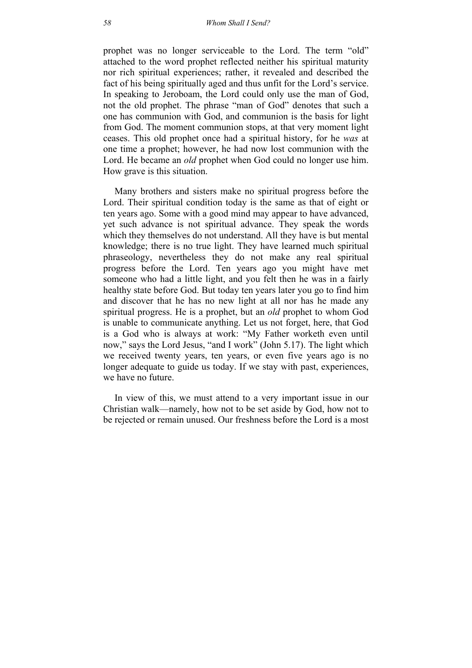prophet was no longer serviceable to the Lord. The term "old" attached to the word prophet reflected neither his spiritual maturity nor rich spiritual experiences; rather, it revealed and described the fact of his being spiritually aged and thus unfit for the Lord's service. In speaking to Jeroboam, the Lord could only use the man of God, not the old prophet. The phrase "man of God" denotes that such a one has communion with God, and communion is the basis for light from God. The moment communion stops, at that very moment light ceases. This old prophet once had a spiritual history, for he *was* at one time a prophet; however, he had now lost communion with the Lord. He became an *old* prophet when God could no longer use him. How grave is this situation.

Many brothers and sisters make no spiritual progress before the Lord. Their spiritual condition today is the same as that of eight or ten years ago. Some with a good mind may appear to have advanced, yet such advance is not spiritual advance. They speak the words which they themselves do not understand. All they have is but mental knowledge; there is no true light. They have learned much spiritual phraseology, nevertheless they do not make any real spiritual progress before the Lord. Ten years ago you might have met someone who had a little light, and you felt then he was in a fairly healthy state before God. But today ten years later you go to find him and discover that he has no new light at all nor has he made any spiritual progress. He is a prophet, but an *old* prophet to whom God is unable to communicate anything. Let us not forget, here, that God is a God who is always at work: "My Father worketh even until now," says the Lord Jesus, "and I work" (John 5.17). The light which we received twenty years, ten years, or even five years ago is no longer adequate to guide us today. If we stay with past, experiences, we have no future.

In view of this, we must attend to a very important issue in our Christian walk—namely, how not to be set aside by God, how not to be rejected or remain unused. Our freshness before the Lord is a most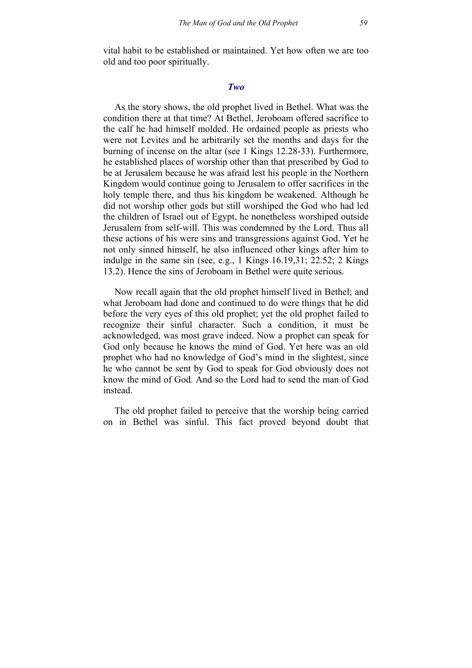vital habit to be established or maintained. Yet how often we are too old and too poor spiritually.

### *Two*

As the story shows, the old prophet lived in Bethel. What was the condition there at that time? At Bethel, Jeroboam offered sacrifice to the calf he had himself molded. He ordained people as priests who were not Levites and he arbitrarily set the months and days for the burning of incense on the altar (see 1 Kings 12.28-33). Furthermore, he established places of worship other than that prescribed by God to be at Jerusalem because he was afraid lest his people in the Northern Kingdom would continue going to Jerusalem to offer sacrifices in the holy temple there, and thus his kingdom be weakened. Although he did not worship other gods but still worshiped the God who had led the children of Israel out of Egypt, he nonetheless worshiped outside Jerusalem from self-will. This was condemned by the Lord. Thus all these actions of his were sins and transgressions against God. Yet he not only sinned himself, he also influenced other kings after him to indulge in the same sin (see, e.g., 1 Kings 16.19,31; 22.52; 2 Kings 13.2). Hence the sins of Jeroboam in Bethel were quite serious.

Now recall again that the old prophet himself lived in Bethel; and what Jeroboam had done and continued to do were things that he did before the very eyes of this old prophet; yet the old prophet failed to recognize their sinful character. Such a condition, it must be acknowledged, was most grave indeed. Now a prophet can speak for God only because he knows the mind of God. Yet here was an old prophet who had no knowledge of God's mind in the slightest, since he who cannot be sent by God to speak for God obviously does not know the mind of God. And so the Lord had to send the man of God instead.

The old prophet failed to perceive that the worship being carried on in Bethel was sinful. This fact proved beyond doubt that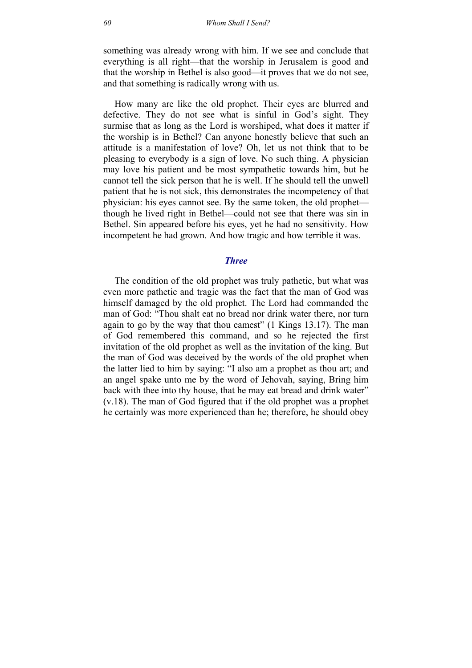something was already wrong with him. If we see and conclude that everything is all right—that the worship in Jerusalem is good and that the worship in Bethel is also good—it proves that we do not see, and that something is radically wrong with us.

How many are like the old prophet. Their eyes are blurred and defective. They do not see what is sinful in God's sight. They surmise that as long as the Lord is worshiped, what does it matter if the worship is in Bethel? Can anyone honestly believe that such an attitude is a manifestation of love? Oh, let us not think that to be pleasing to everybody is a sign of love. No such thing. A physician may love his patient and be most sympathetic towards him, but he cannot tell the sick person that he is well. If he should tell the unwell patient that he is not sick, this demonstrates the incompetency of that physician: his eyes cannot see. By the same token, the old prophet though he lived right in Bethel—could not see that there was sin in Bethel. Sin appeared before his eyes, yet he had no sensitivity. How incompetent he had grown. And how tragic and how terrible it was.

### *Three*

The condition of the old prophet was truly pathetic, but what was even more pathetic and tragic was the fact that the man of God was himself damaged by the old prophet. The Lord had commanded the man of God: "Thou shalt eat no bread nor drink water there, nor turn again to go by the way that thou camest" (1 Kings 13.17). The man of God remembered this command, and so he rejected the first invitation of the old prophet as well as the invitation of the king. But the man of God was deceived by the words of the old prophet when the latter lied to him by saying: "I also am a prophet as thou art; and an angel spake unto me by the word of Jehovah, saying, Bring him back with thee into thy house, that he may eat bread and drink water" (v.18). The man of God figured that if the old prophet was a prophet he certainly was more experienced than he; therefore, he should obey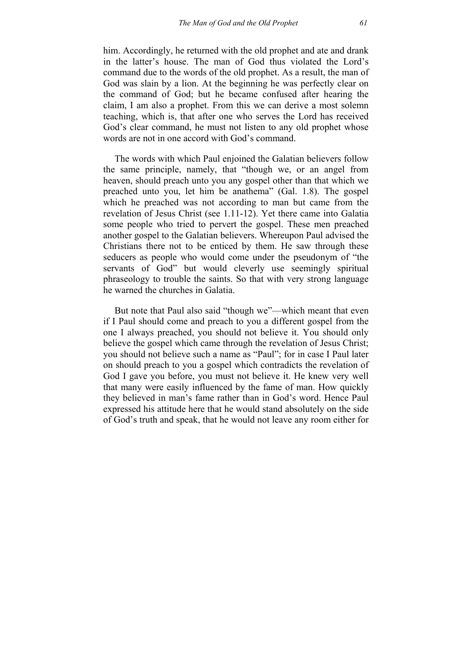him. Accordingly, he returned with the old prophet and ate and drank in the latter's house. The man of God thus violated the Lord's command due to the words of the old prophet. As a result, the man of God was slain by a lion. At the beginning he was perfectly clear on the command of God; but he became confused after hearing the claim, I am also a prophet. From this we can derive a most solemn teaching, which is, that after one who serves the Lord has received God's clear command, he must not listen to any old prophet whose words are not in one accord with God's command.

The words with which Paul enjoined the Galatian believers follow the same principle, namely, that "though we, or an angel from heaven, should preach unto you any gospel other than that which we preached unto you, let him be anathema" (Gal. 1.8). The gospel which he preached was not according to man but came from the revelation of Jesus Christ (see 1.11-12). Yet there came into Galatia some people who tried to pervert the gospel. These men preached another gospel to the Galatian believers. Whereupon Paul advised the Christians there not to be enticed by them. He saw through these seducers as people who would come under the pseudonym of "the servants of God" but would cleverly use seemingly spiritual phraseology to trouble the saints. So that with very strong language he warned the churches in Galatia.

But note that Paul also said "though we"—which meant that even if I Paul should come and preach to you a different gospel from the one I always preached, you should not believe it. You should only believe the gospel which came through the revelation of Jesus Christ; you should not believe such a name as "Paul"; for in case I Paul later on should preach to you a gospel which contradicts the revelation of God I gave you before, you must not believe it. He knew very well that many were easily influenced by the fame of man. How quickly they believed in man's fame rather than in God's word. Hence Paul expressed his attitude here that he would stand absolutely on the side of God's truth and speak, that he would not leave any room either for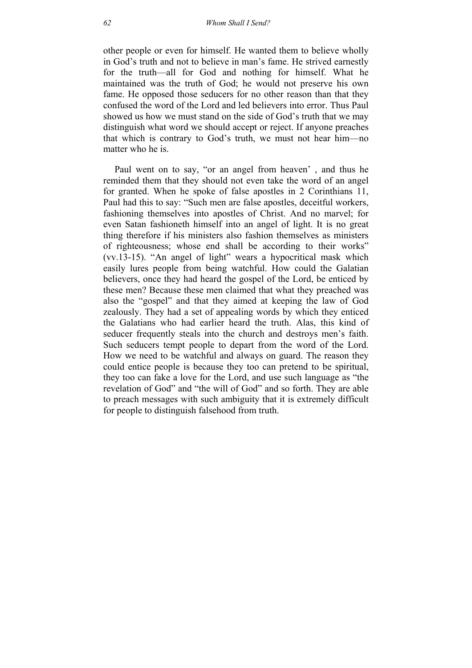other people or even for himself. He wanted them to believe wholly in God's truth and not to believe in man's fame. He strived earnestly for the truth—all for God and nothing for himself. What he maintained was the truth of God; he would not preserve his own fame. He opposed those seducers for no other reason than that they confused the word of the Lord and led believers into error. Thus Paul showed us how we must stand on the side of God's truth that we may distinguish what word we should accept or reject. If anyone preaches that which is contrary to God's truth, we must not hear him—no matter who he is.

Paul went on to say, "or an angel from heaven' , and thus he reminded them that they should not even take the word of an angel for granted. When he spoke of false apostles in 2 Corinthians 11, Paul had this to say: "Such men are false apostles, deceitful workers, fashioning themselves into apostles of Christ. And no marvel; for even Satan fashioneth himself into an angel of light. It is no great thing therefore if his ministers also fashion themselves as ministers of righteousness; whose end shall be according to their works" (vv.13-15). "An angel of light" wears a hypocritical mask which easily lures people from being watchful. How could the Galatian believers, once they had heard the gospel of the Lord, be enticed by these men? Because these men claimed that what they preached was also the "gospel" and that they aimed at keeping the law of God zealously. They had a set of appealing words by which they enticed the Galatians who had earlier heard the truth. Alas, this kind of seducer frequently steals into the church and destroys men's faith. Such seducers tempt people to depart from the word of the Lord. How we need to be watchful and always on guard. The reason they could entice people is because they too can pretend to be spiritual, they too can fake a love for the Lord, and use such language as "the revelation of God" and "the will of God" and so forth. They are able to preach messages with such ambiguity that it is extremely difficult for people to distinguish falsehood from truth.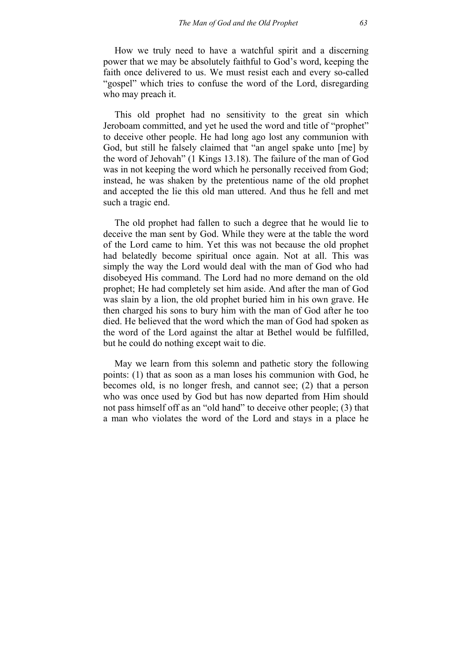How we truly need to have a watchful spirit and a discerning power that we may be absolutely faithful to God's word, keeping the faith once delivered to us. We must resist each and every so-called "gospel" which tries to confuse the word of the Lord, disregarding who may preach it.

This old prophet had no sensitivity to the great sin which Jeroboam committed, and yet he used the word and title of "prophet" to deceive other people. He had long ago lost any communion with God, but still he falsely claimed that "an angel spake unto [me] by the word of Jehovah" (1 Kings 13.18). The failure of the man of God was in not keeping the word which he personally received from God; instead, he was shaken by the pretentious name of the old prophet and accepted the lie this old man uttered. And thus he fell and met such a tragic end.

The old prophet had fallen to such a degree that he would lie to deceive the man sent by God. While they were at the table the word of the Lord came to him. Yet this was not because the old prophet had belatedly become spiritual once again. Not at all. This was simply the way the Lord would deal with the man of God who had disobeyed His command. The Lord had no more demand on the old prophet; He had completely set him aside. And after the man of God was slain by a lion, the old prophet buried him in his own grave. He then charged his sons to bury him with the man of God after he too died. He believed that the word which the man of God had spoken as the word of the Lord against the altar at Bethel would be fulfilled, but he could do nothing except wait to die.

May we learn from this solemn and pathetic story the following points: (1) that as soon as a man loses his communion with God, he becomes old, is no longer fresh, and cannot see; (2) that a person who was once used by God but has now departed from Him should not pass himself off as an "old hand" to deceive other people; (3) that a man who violates the word of the Lord and stays in a place he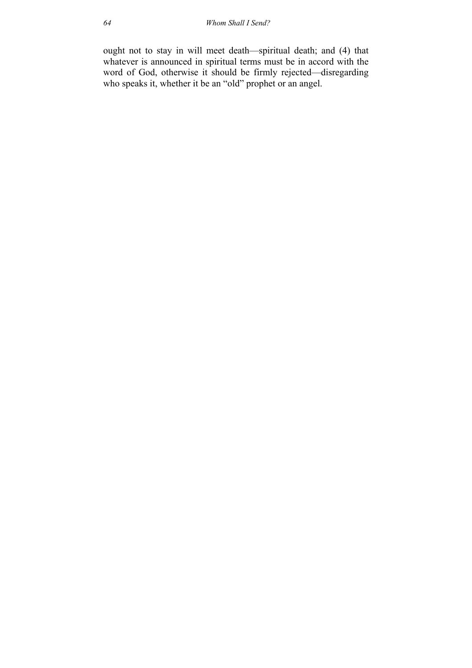ought not to stay in will meet death—spiritual death; and (4) that whatever is announced in spiritual terms must be in accord with the word of God, otherwise it should be firmly rejected—disregarding who speaks it, whether it be an "old" prophet or an angel.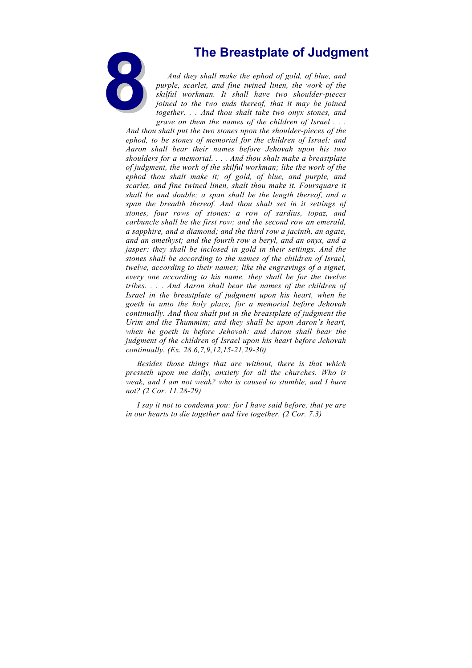

**8The Breastplate of Judgment**<br>
And they shall make the ephod of gold, of blue, and<br>
purple, scarlet, and fine twined linen, the work of the<br>
skilful workman. It shall have two shoulder-pieces<br>
joined to the two ends there *And they shall make the ephod of gold, of blue, and purple, scarlet, and fine twined linen, the work of the skilful workman. It shall have two shoulder-pieces joined to the two ends thereof, that it may be joined together. . . And thou shalt take two onyx stones, and grave on them the names of the children of Israel . . .* 

*And thou shalt put the two stones upon the shoulder-pieces of the ephod, to be stones of memorial for the children of Israel: and Aaron shall bear their names before Jehovah upon his two shoulders for a memorial. . . . And thou shalt make a breastplate of judgment, the work of the skilful workman; like the work of the ephod thou shalt make it; of gold, of blue, and purple, and scarlet, and fine twined linen, shalt thou make it. Foursquare it shall be and double; a span shall be the length thereof, and a span the breadth thereof. And thou shalt set in it settings of stones, four rows of stones: a row of sardius, topaz, and carbuncle shall be the first row; and the second row an emerald, a sapphire, and a diamond; and the third row a jacinth, an agate, and an amethyst; and the fourth row a beryl, and an onyx, and a jasper: they shall be inclosed in gold in their settings. And the stones shall be according to the names of the children of Israel, twelve, according to their names; like the engravings of a signet, every one according to his name, they shall be for the twelve tribes. . . . And Aaron shall bear the names of the children of Israel in the breastplate of judgment upon his heart, when he goeth in unto the holy place, for a memorial before Jehovah continually. And thou shalt put in the breastplate of judgment the Urim and the Thummim; and they shall be upon Aaron's heart, when he goeth in before Jehovah: and Aaron shall bear the judgment of the children of Israel upon his heart before Jehovah continually. (Ex. 28.6,7,9,12,15-21,29-30)*

*Besides those things that are without, there is that which presseth upon me daily, anxiety for all the churches. Who is weak, and I am not weak? who is caused to stumble, and I burn not? (2 Cor. 11.28-29)*

*I say it not to condemn you: for I have said before, that ye are in our hearts to die together and live together. (2 Cor. 7.3)*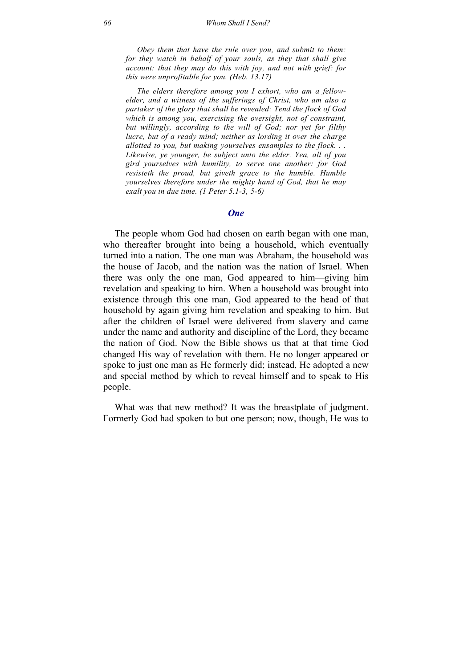*Obey them that have the rule over you, and submit to them: for they watch in behalf of your souls, as they that shall give account; that they may do this with joy, and not with grief: for this were unprofitable for you. (Heb. 13.17)* 

*The elders therefore among you I exhort, who am a fellowelder, and a witness of the sufferings of Christ, who am also a partaker of the glory that shall be revealed: Tend the flock of God which is among you, exercising the oversight, not of constraint, but willingly, according to the will of God; nor yet for filthy lucre, but of a ready mind; neither as lording it over the charge allotted to you, but making yourselves ensamples to the flock. . . Likewise, ye younger, be subject unto the elder. Yea, all of you gird yourselves with humility, to serve one another: for God resisteth the proud, but giveth grace to the humble. Humble yourselves therefore under the mighty hand of God, that he may exalt you in due time. (1 Peter 5.1-3, 5-6)* 

## *One*

The people whom God had chosen on earth began with one man, who thereafter brought into being a household, which eventually turned into a nation. The one man was Abraham, the household was the house of Jacob, and the nation was the nation of Israel. When there was only the one man, God appeared to him—giving him revelation and speaking to him. When a household was brought into existence through this one man, God appeared to the head of that household by again giving him revelation and speaking to him. But after the children of Israel were delivered from slavery and came under the name and authority and discipline of the Lord, they became the nation of God. Now the Bible shows us that at that time God changed His way of revelation with them. He no longer appeared or spoke to just one man as He formerly did; instead, He adopted a new and special method by which to reveal himself and to speak to His people.

What was that new method? It was the breastplate of judgment. Formerly God had spoken to but one person; now, though, He was to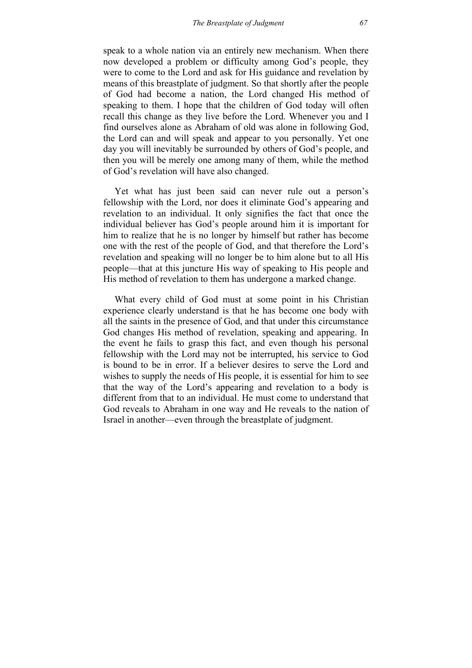speak to a whole nation via an entirely new mechanism. When there now developed a problem or difficulty among God's people, they were to come to the Lord and ask for His guidance and revelation by means of this breastplate of judgment. So that shortly after the people of God had become a nation, the Lord changed His method of speaking to them. I hope that the children of God today will often recall this change as they live before the Lord. Whenever you and I find ourselves alone as Abraham of old was alone in following God, the Lord can and will speak and appear to you personally. Yet one day you will inevitably be surrounded by others of God's people, and then you will be merely one among many of them, while the method of God's revelation will have also changed.

Yet what has just been said can never rule out a person's fellowship with the Lord, nor does it eliminate God's appearing and revelation to an individual. It only signifies the fact that once the individual believer has God's people around him it is important for him to realize that he is no longer by himself but rather has become one with the rest of the people of God, and that therefore the Lord's revelation and speaking will no longer be to him alone but to all His people—that at this juncture His way of speaking to His people and His method of revelation to them has undergone a marked change.

What every child of God must at some point in his Christian experience clearly understand is that he has become one body with all the saints in the presence of God, and that under this circumstance God changes His method of revelation, speaking and appearing. In the event he fails to grasp this fact, and even though his personal fellowship with the Lord may not be interrupted, his service to God is bound to be in error. If a believer desires to serve the Lord and wishes to supply the needs of His people, it is essential for him to see that the way of the Lord's appearing and revelation to a body is different from that to an individual. He must come to understand that God reveals to Abraham in one way and He reveals to the nation of Israel in another—even through the breastplate of judgment.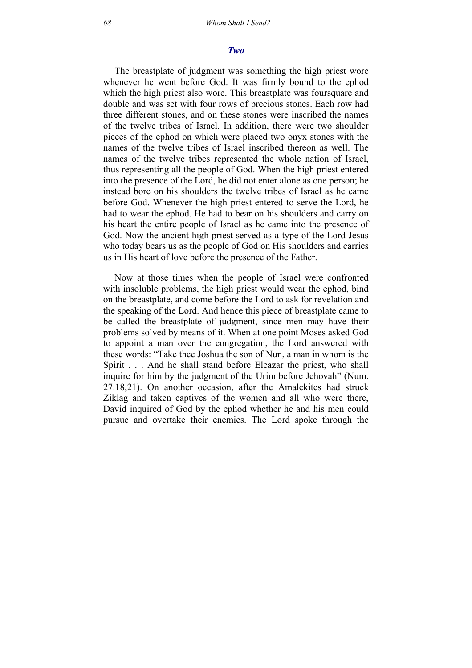### *Two*

The breastplate of judgment was something the high priest wore whenever he went before God. It was firmly bound to the ephod which the high priest also wore. This breastplate was foursquare and double and was set with four rows of precious stones. Each row had three different stones, and on these stones were inscribed the names of the twelve tribes of Israel. In addition, there were two shoulder pieces of the ephod on which were placed two onyx stones with the names of the twelve tribes of Israel inscribed thereon as well. The names of the twelve tribes represented the whole nation of Israel, thus representing all the people of God. When the high priest entered into the presence of the Lord, he did not enter alone as one person; he instead bore on his shoulders the twelve tribes of Israel as he came before God. Whenever the high priest entered to serve the Lord, he had to wear the ephod. He had to bear on his shoulders and carry on his heart the entire people of Israel as he came into the presence of God. Now the ancient high priest served as a type of the Lord Jesus who today bears us as the people of God on His shoulders and carries us in His heart of love before the presence of the Father.

Now at those times when the people of Israel were confronted with insoluble problems, the high priest would wear the ephod, bind on the breastplate, and come before the Lord to ask for revelation and the speaking of the Lord. And hence this piece of breastplate came to be called the breastplate of judgment, since men may have their problems solved by means of it. When at one point Moses asked God to appoint a man over the congregation, the Lord answered with these words: "Take thee Joshua the son of Nun, a man in whom is the Spirit . . . And he shall stand before Eleazar the priest, who shall inquire for him by the judgment of the Urim before Jehovah" (Num. 27.18,21). On another occasion, after the Amalekites had struck Ziklag and taken captives of the women and all who were there, David inquired of God by the ephod whether he and his men could pursue and overtake their enemies. The Lord spoke through the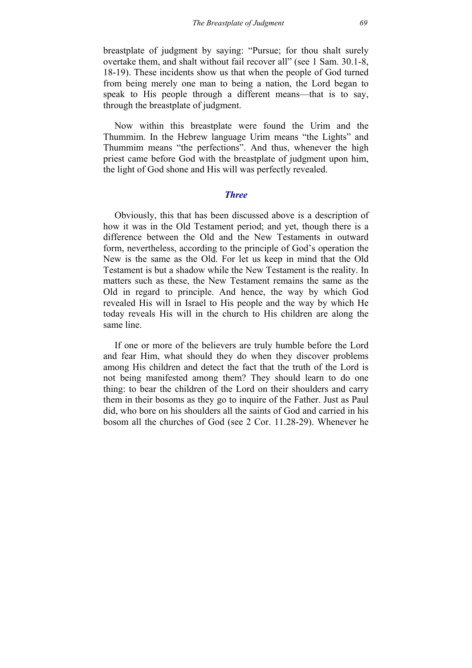breastplate of judgment by saying: "Pursue; for thou shalt surely overtake them, and shalt without fail recover all" (see 1 Sam. 30.1-8, 18-19). These incidents show us that when the people of God turned from being merely one man to being a nation, the Lord began to speak to His people through a different means—that is to say, through the breastplate of judgment.

Now within this breastplate were found the Urim and the Thummim. In the Hebrew language Urim means "the Lights" and Thummim means "the perfections". And thus, whenever the high priest came before God with the breastplate of judgment upon him, the light of God shone and His will was perfectly revealed.

## *Three*

Obviously, this that has been discussed above is a description of how it was in the Old Testament period; and yet, though there is a difference between the Old and the New Testaments in outward form, nevertheless, according to the principle of God's operation the New is the same as the Old. For let us keep in mind that the Old Testament is but a shadow while the New Testament is the reality. In matters such as these, the New Testament remains the same as the Old in regard to principle. And hence, the way by which God revealed His will in Israel to His people and the way by which He today reveals His will in the church to His children are along the same line.

If one or more of the believers are truly humble before the Lord and fear Him, what should they do when they discover problems among His children and detect the fact that the truth of the Lord is not being manifested among them? They should learn to do one thing: to bear the children of the Lord on their shoulders and carry them in their bosoms as they go to inquire of the Father. Just as Paul did, who bore on his shoulders all the saints of God and carried in his bosom all the churches of God (see 2 Cor. 11.28-29). Whenever he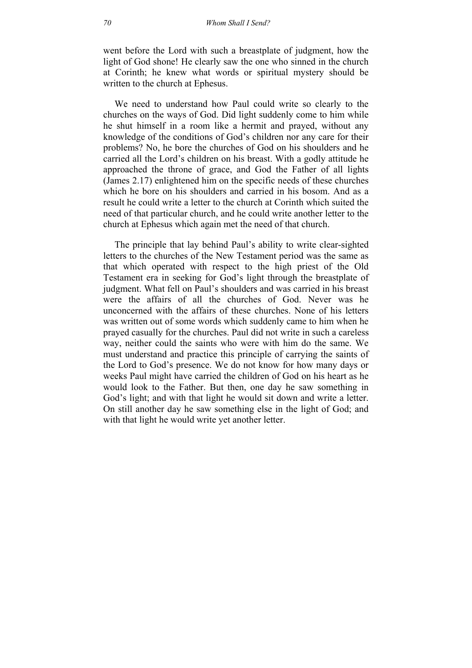went before the Lord with such a breastplate of judgment, how the light of God shone! He clearly saw the one who sinned in the church at Corinth; he knew what words or spiritual mystery should be written to the church at Ephesus.

We need to understand how Paul could write so clearly to the churches on the ways of God. Did light suddenly come to him while he shut himself in a room like a hermit and prayed, without any knowledge of the conditions of God's children nor any care for their problems? No, he bore the churches of God on his shoulders and he carried all the Lord's children on his breast. With a godly attitude he approached the throne of grace, and God the Father of all lights (James 2.17) enlightened him on the specific needs of these churches which he bore on his shoulders and carried in his bosom. And as a result he could write a letter to the church at Corinth which suited the need of that particular church, and he could write another letter to the church at Ephesus which again met the need of that church.

The principle that lay behind Paul's ability to write clear-sighted letters to the churches of the New Testament period was the same as that which operated with respect to the high priest of the Old Testament era in seeking for God's light through the breastplate of judgment. What fell on Paul's shoulders and was carried in his breast were the affairs of all the churches of God. Never was he unconcerned with the affairs of these churches. None of his letters was written out of some words which suddenly came to him when he prayed casually for the churches. Paul did not write in such a careless way, neither could the saints who were with him do the same. We must understand and practice this principle of carrying the saints of the Lord to God's presence. We do not know for how many days or weeks Paul might have carried the children of God on his heart as he would look to the Father. But then, one day he saw something in God's light; and with that light he would sit down and write a letter. On still another day he saw something else in the light of God; and with that light he would write yet another letter.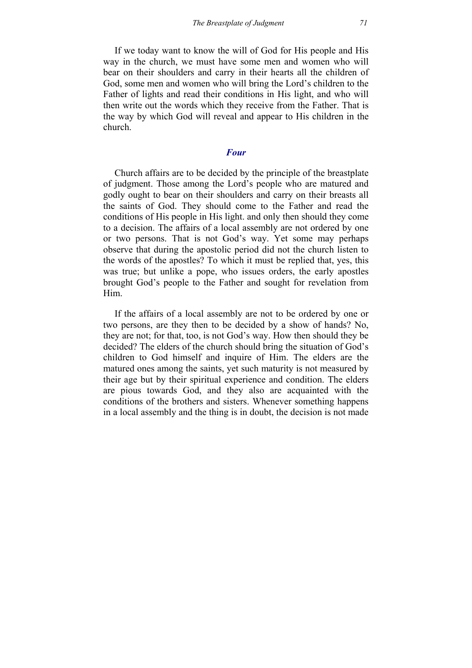If we today want to know the will of God for His people and His way in the church, we must have some men and women who will bear on their shoulders and carry in their hearts all the children of God, some men and women who will bring the Lord's children to the Father of lights and read their conditions in His light, and who will then write out the words which they receive from the Father. That is the way by which God will reveal and appear to His children in the church.

## *Four*

Church affairs are to be decided by the principle of the breastplate of judgment. Those among the Lord's people who are matured and godly ought to bear on their shoulders and carry on their breasts all the saints of God. They should come to the Father and read the conditions of His people in His light. and only then should they come to a decision. The affairs of a local assembly are not ordered by one or two persons. That is not God's way. Yet some may perhaps observe that during the apostolic period did not the church listen to the words of the apostles? To which it must be replied that, yes, this was true; but unlike a pope, who issues orders, the early apostles brought God's people to the Father and sought for revelation from Him.

If the affairs of a local assembly are not to be ordered by one or two persons, are they then to be decided by a show of hands? No, they are not; for that, too, is not God's way. How then should they be decided? The elders of the church should bring the situation of God's children to God himself and inquire of Him. The elders are the matured ones among the saints, yet such maturity is not measured by their age but by their spiritual experience and condition. The elders are pious towards God, and they also are acquainted with the conditions of the brothers and sisters. Whenever something happens in a local assembly and the thing is in doubt, the decision is not made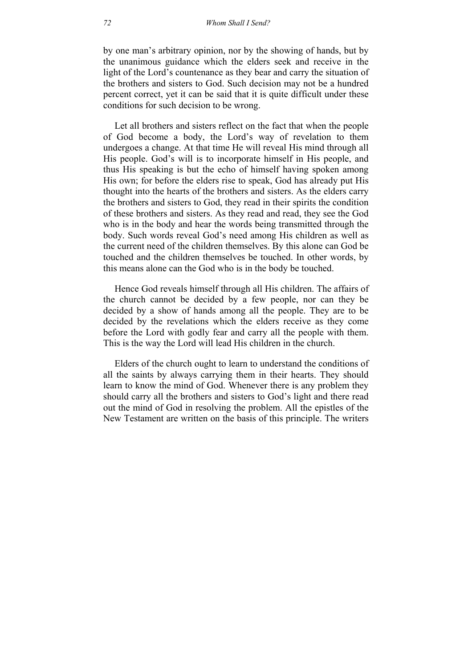by one man's arbitrary opinion, nor by the showing of hands, but by the unanimous guidance which the elders seek and receive in the light of the Lord's countenance as they bear and carry the situation of the brothers and sisters to God. Such decision may not be a hundred percent correct, yet it can be said that it is quite difficult under these conditions for such decision to be wrong.

Let all brothers and sisters reflect on the fact that when the people of God become a body, the Lord's way of revelation to them undergoes a change. At that time He will reveal His mind through all His people. God's will is to incorporate himself in His people, and thus His speaking is but the echo of himself having spoken among His own; for before the elders rise to speak, God has already put His thought into the hearts of the brothers and sisters. As the elders carry the brothers and sisters to God, they read in their spirits the condition of these brothers and sisters. As they read and read, they see the God who is in the body and hear the words being transmitted through the body. Such words reveal God's need among His children as well as the current need of the children themselves. By this alone can God be touched and the children themselves be touched. In other words, by this means alone can the God who is in the body be touched.

Hence God reveals himself through all His children. The affairs of the church cannot be decided by a few people, nor can they be decided by a show of hands among all the people. They are to be decided by the revelations which the elders receive as they come before the Lord with godly fear and carry all the people with them. This is the way the Lord will lead His children in the church.

Elders of the church ought to learn to understand the conditions of all the saints by always carrying them in their hearts. They should learn to know the mind of God. Whenever there is any problem they should carry all the brothers and sisters to God's light and there read out the mind of God in resolving the problem. All the epistles of the New Testament are written on the basis of this principle. The writers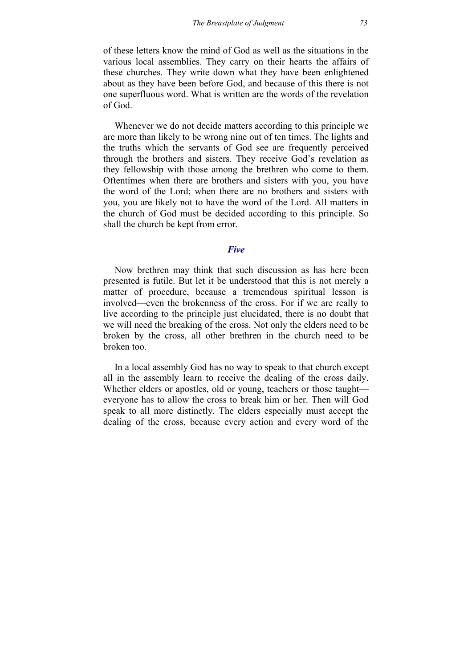of these letters know the mind of God as well as the situations in the various local assemblies. They carry on their hearts the affairs of these churches. They write down what they have been enlightened about as they have been before God, and because of this there is not one superfluous word. What is written are the words of the revelation of God.

Whenever we do not decide matters according to this principle we are more than likely to be wrong nine out of ten times. The lights and the truths which the servants of God see are frequently perceived through the brothers and sisters. They receive God's revelation as they fellowship with those among the brethren who come to them. Oftentimes when there are brothers and sisters with you, you have the word of the Lord; when there are no brothers and sisters with you, you are likely not to have the word of the Lord. All matters in the church of God must be decided according to this principle. So shall the church be kept from error.

## *Five*

Now brethren may think that such discussion as has here been presented is futile. But let it be understood that this is not merely a matter of procedure, because a tremendous spiritual lesson is involved—even the brokenness of the cross. For if we are really to live according to the principle just elucidated, there is no doubt that we will need the breaking of the cross. Not only the elders need to be broken by the cross, all other brethren in the church need to be broken too.

In a local assembly God has no way to speak to that church except all in the assembly learn to receive the dealing of the cross daily. Whether elders or apostles, old or young, teachers or those taught everyone has to allow the cross to break him or her. Then will God speak to all more distinctly. The elders especially must accept the dealing of the cross, because every action and every word of the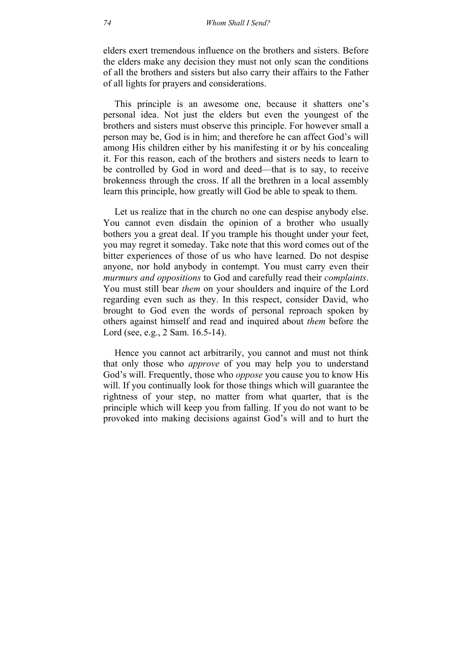elders exert tremendous influence on the brothers and sisters. Before the elders make any decision they must not only scan the conditions of all the brothers and sisters but also carry their affairs to the Father of all lights for prayers and considerations.

This principle is an awesome one, because it shatters one's personal idea. Not just the elders but even the youngest of the brothers and sisters must observe this principle. For however small a person may be, God is in him; and therefore he can affect God's will among His children either by his manifesting it or by his concealing it. For this reason, each of the brothers and sisters needs to learn to be controlled by God in word and deed—that is to say, to receive brokenness through the cross. If all the brethren in a local assembly learn this principle, how greatly will God be able to speak to them.

Let us realize that in the church no one can despise anybody else. You cannot even disdain the opinion of a brother who usually bothers you a great deal. If you trample his thought under your feet, you may regret it someday. Take note that this word comes out of the bitter experiences of those of us who have learned. Do not despise anyone, nor hold anybody in contempt. You must carry even their *murmurs and oppositions* to God and carefully read their *complaints*. You must still bear *them* on your shoulders and inquire of the Lord regarding even such as they. In this respect, consider David, who brought to God even the words of personal reproach spoken by others against himself and read and inquired about *them* before the Lord (see, e.g., 2 Sam. 16.5-14).

Hence you cannot act arbitrarily, you cannot and must not think that only those who *approve* of you may help you to understand God's will. Frequently, those who *oppose* you cause you to know His will. If you continually look for those things which will guarantee the rightness of your step, no matter from what quarter, that is the principle which will keep you from falling. If you do not want to be provoked into making decisions against God's will and to hurt the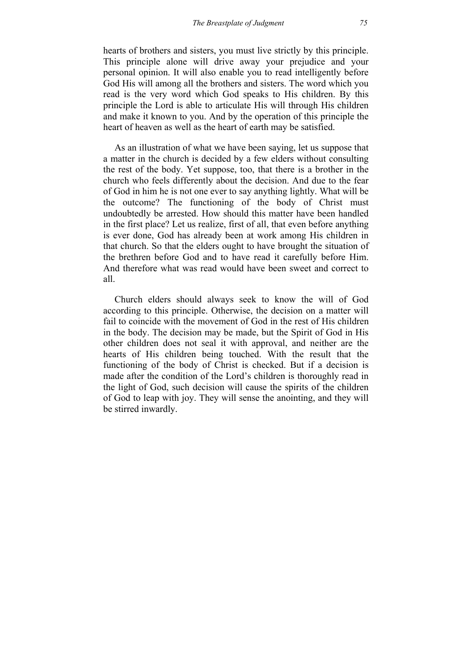hearts of brothers and sisters, you must live strictly by this principle. This principle alone will drive away your prejudice and your personal opinion. It will also enable you to read intelligently before God His will among all the brothers and sisters. The word which you read is the very word which God speaks to His children. By this principle the Lord is able to articulate His will through His children and make it known to you. And by the operation of this principle the heart of heaven as well as the heart of earth may be satisfied.

As an illustration of what we have been saying, let us suppose that a matter in the church is decided by a few elders without consulting the rest of the body. Yet suppose, too, that there is a brother in the church who feels differently about the decision. And due to the fear of God in him he is not one ever to say anything lightly. What will be the outcome? The functioning of the body of Christ must undoubtedly be arrested. How should this matter have been handled in the first place? Let us realize, first of all, that even before anything is ever done, God has already been at work among His children in that church. So that the elders ought to have brought the situation of the brethren before God and to have read it carefully before Him. And therefore what was read would have been sweet and correct to all.

Church elders should always seek to know the will of God according to this principle. Otherwise, the decision on a matter will fail to coincide with the movement of God in the rest of His children in the body. The decision may be made, but the Spirit of God in His other children does not seal it with approval, and neither are the hearts of His children being touched. With the result that the functioning of the body of Christ is checked. But if a decision is made after the condition of the Lord's children is thoroughly read in the light of God, such decision will cause the spirits of the children of God to leap with joy. They will sense the anointing, and they will be stirred inwardly.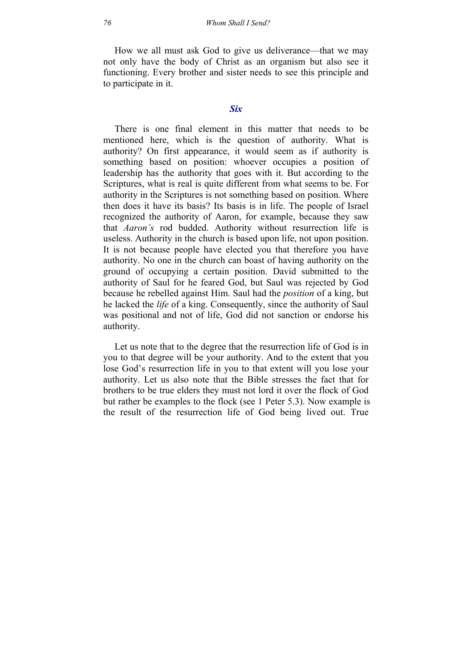How we all must ask God to give us deliverance—that we may not only have the body of Christ as an organism but also see it functioning. Every brother and sister needs to see this principle and to participate in it.

## *Six*

There is one final element in this matter that needs to be mentioned here, which is the question of authority. What is authority? On first appearance, it would seem as if authority is something based on position: whoever occupies a position of leadership has the authority that goes with it. But according to the Scriptures, what is real is quite different from what seems to be. For authority in the Scriptures is not something based on position. Where then does it have its basis? Its basis is in life. The people of Israel recognized the authority of Aaron, for example, because they saw that *Aaron's* rod budded. Authority without resurrection life is useless. Authority in the church is based upon life, not upon position. It is not because people have elected you that therefore you have authority. No one in the church can boast of having authority on the ground of occupying a certain position. David submitted to the authority of Saul for he feared God, but Saul was rejected by God because he rebelled against Him. Saul had the *position* of a king, but he lacked the *life* of a king. Consequently, since the authority of Saul was positional and not of life, God did not sanction or endorse his authority.

Let us note that to the degree that the resurrection life of God is in you to that degree will be your authority. And to the extent that you lose God's resurrection life in you to that extent will you lose your authority. Let us also note that the Bible stresses the fact that for brothers to be true elders they must not lord it over the flock of God but rather be examples to the flock (see 1 Peter 5.3). Now example is the result of the resurrection life of God being lived out. True